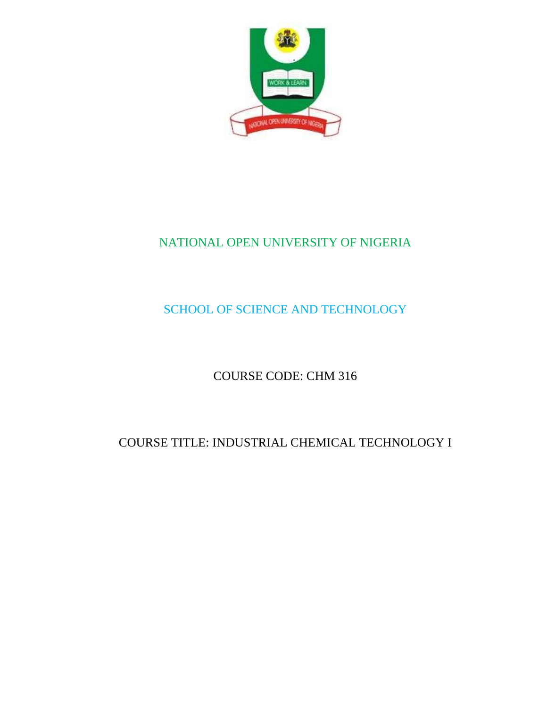

# NATIONAL OPEN UNIVERSITY OF NIGERIA

# SCHOOL OF SCIENCE AND TECHNOLOGY

# COURSE CODE: CHM 316

# COURSE TITLE: INDUSTRIAL CHEMICAL TECHNOLOGY I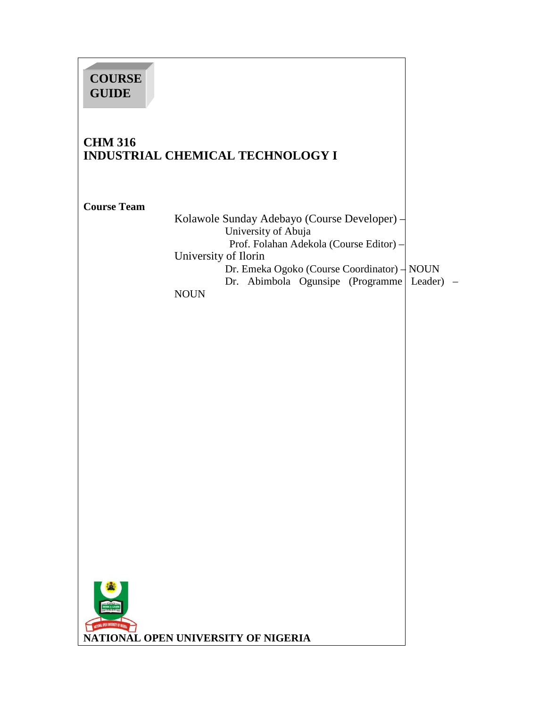| <b>COURSE</b><br><b>GUIDE</b>       |                                                                                                                                                                                                                                                       |                                              |
|-------------------------------------|-------------------------------------------------------------------------------------------------------------------------------------------------------------------------------------------------------------------------------------------------------|----------------------------------------------|
| <b>CHM 316</b>                      | INDUSTRIAL CHEMICAL TECHNOLOGY I                                                                                                                                                                                                                      |                                              |
| <b>Course Team</b>                  | Kolawole Sunday Adebayo (Course Developer) -<br>University of Abuja<br>Prof. Folahan Adekola (Course Editor) -<br>University of Ilorin<br>Dr. Emeka Ogoko (Course Coordinator) $\frac{1}{2}$ NOUN<br>Dr. Abimbola Ogunsipe (Programme)<br><b>NOUN</b> | Leader)<br>$\hspace{0.1mm}$ $\hspace{0.1mm}$ |
| MATIONAL OFEN UNIVERSITY OF MAGERIA | NATIONAL OPEN UNIVERSITY OF NIGERIA                                                                                                                                                                                                                   |                                              |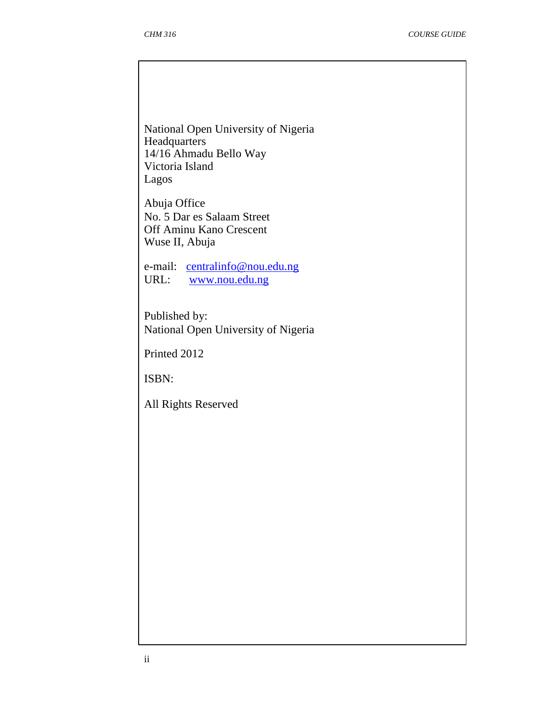National Open University of Nigeria **Headquarters** 14/16 Ahmadu Bello Way Victoria Island Lagos

Abuja Office No. 5 Dar es Salaam Street Off Aminu Kano Crescent Wuse II, Abuja

e-mail: centralinfo@nou.edu.ng URL: www.nou.edu.ng

Published by: National Open University of Nigeria

Printed 2012

ISBN:

All Rights Reserved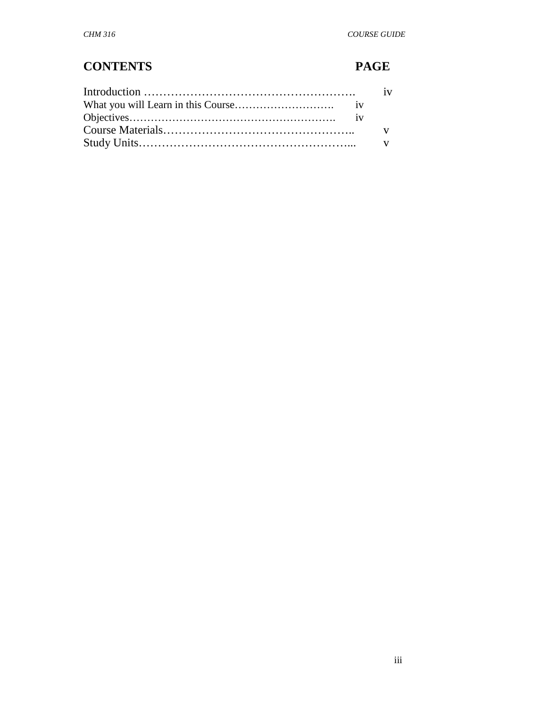## **CONTENTS**

# **PAGE**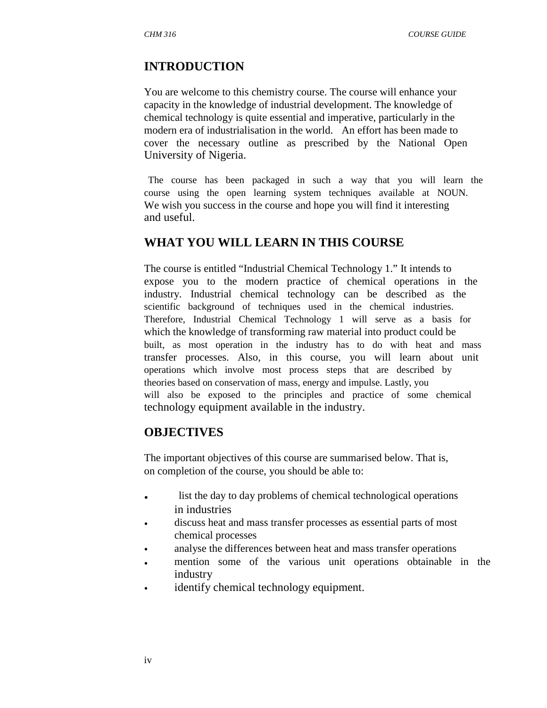#### **INTRODUCTION**

You are welcome to this chemistry course. The course will enhance your capacity in the knowledge of industrial development. The knowledge of chemical technology is quite essential and imperative, particularly in the modern era of industrialisation in the world. An effort has been made to cover the necessary outline as prescribed by the National Open University of Nigeria.

 The course has been packaged in such a way that you will learn the course using the open learning system techniques available at NOUN. We wish you success in the course and hope you will find it interesting and useful.

#### **WHAT YOU WILL LEARN IN THIS COURSE**

The course is entitled "Industrial Chemical Technology 1." It intends to expose you to the modern practice of chemical operations in the industry. Industrial chemical technology can be described as the scientific background of techniques used in the chemical industries. Therefore, Industrial Chemical Technology 1 will serve as a basis for which the knowledge of transforming raw material into product could be built, as most operation in the industry has to do with heat and mass transfer processes. Also, in this course, you will learn about unit operations which involve most process steps that are described by theories based on conservation of mass, energy and impulse. Lastly, you will also be exposed to the principles and practice of some chemical technology equipment available in the industry.

#### **OBJECTIVES**

The important objectives of this course are summarised below. That is, on completion of the course, you should be able to:

- list the day to day problems of chemical technological operations in industries
- discuss heat and mass transfer processes as essential parts of most chemical processes
- analyse the differences between heat and mass transfer operations
- mention some of the various unit operations obtainable in the industry
- identify chemical technology equipment.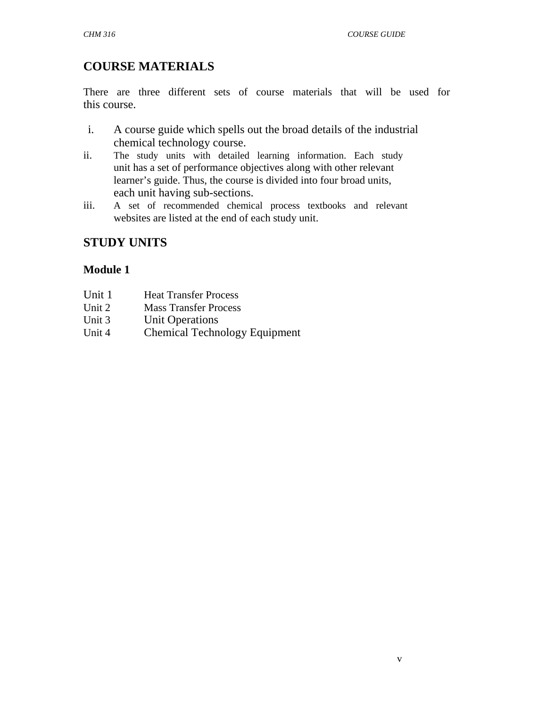### **COURSE MATERIALS**

There are three different sets of course materials that will be used for this course.

- i. A course guide which spells out the broad details of the industrial chemical technology course.
- ii. The study units with detailed learning information. Each study unit has a set of performance objectives along with other relevant learner's guide. Thus, the course is divided into four broad units, each unit having sub-sections.
- iii. A set of recommended chemical process textbooks and relevant websites are listed at the end of each study unit.

### **STUDY UNITS**

#### **Module 1**

- Unit 1 Heat Transfer Process
- Unit 2 Mass Transfer Process
- Unit 3 Unit Operations
- Unit 4 Chemical Technology Equipment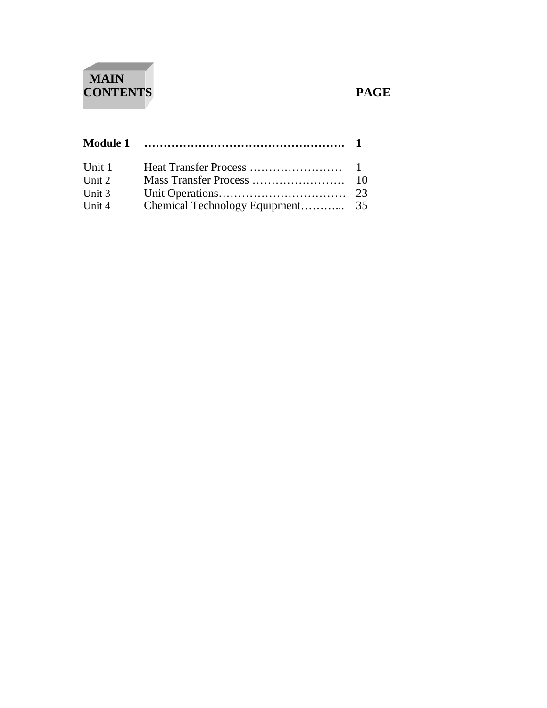#### **Contract Contract Contract Contract MAIN CONTENTS**

# **PAGE**

|        | Module 1 $\cdots$ $\cdots$ $\cdots$ $\cdots$ $\cdots$ $\cdots$ $\cdots$ $\cdots$ $\cdots$ $\cdots$ $\cdots$ $\cdots$ $\cdots$ |  |
|--------|-------------------------------------------------------------------------------------------------------------------------------|--|
| Unit 1 |                                                                                                                               |  |
| Unit 2 |                                                                                                                               |  |
| Unit 3 |                                                                                                                               |  |
| Unit 4 |                                                                                                                               |  |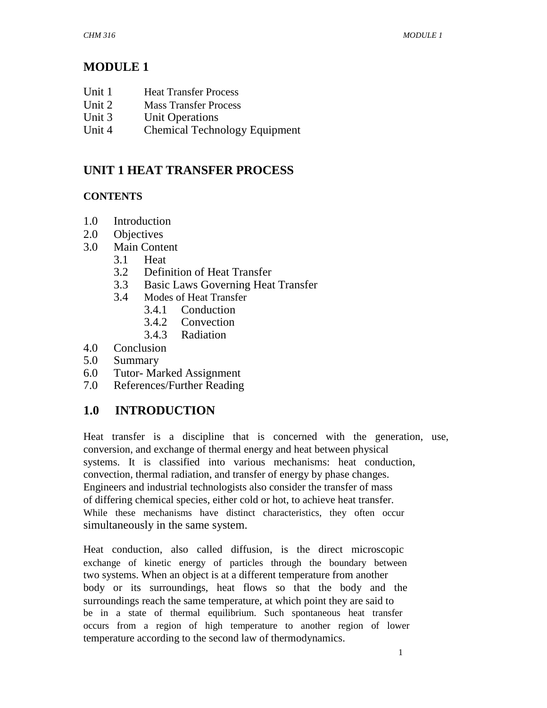## **MODULE 1**

- Unit 1 Heat Transfer Process
- Unit 2 Mass Transfer Process
- Unit 3 Unit Operations
- Unit 4 Chemical Technology Equipment

## **UNIT 1 HEAT TRANSFER PROCESS**

#### **CONTENTS**

- 1.0 Introduction
- 2.0 Objectives
- 3.0 Main Content
	- 3.1 Heat
	- 3.2 Definition of Heat Transfer
	- 3.3 Basic Laws Governing Heat Transfer
	- 3.4 Modes of Heat Transfer
		- 3.4.1 Conduction
		- 3.4.2 Convection<br>3.4.3 Radiation
		- Radiation
- 4.0 Conclusion
- 5.0 Summary
- 6.0 Tutor- Marked Assignment
- 7.0 References/Further Reading

### **1.0 INTRODUCTION**

Heat transfer is a discipline that is concerned with the generation, use, conversion, and exchange of thermal energy and heat between physical systems. It is classified into various mechanisms: heat conduction, convection, thermal radiation, and transfer of energy by phase changes. Engineers and industrial technologists also consider the transfer of mass of differing chemical species, either cold or hot, to achieve heat transfer. While these mechanisms have distinct characteristics, they often occur simultaneously in the same system.

Heat conduction, also called diffusion, is the direct microscopic exchange of kinetic energy of particles through the boundary between two systems. When an object is at a different temperature from another body or its surroundings, heat flows so that the body and the surroundings reach the same temperature, at which point they are said to be in a state of thermal equilibrium. Such spontaneous heat transfer occurs from a region of high temperature to another region of lower temperature according to the second law of thermodynamics.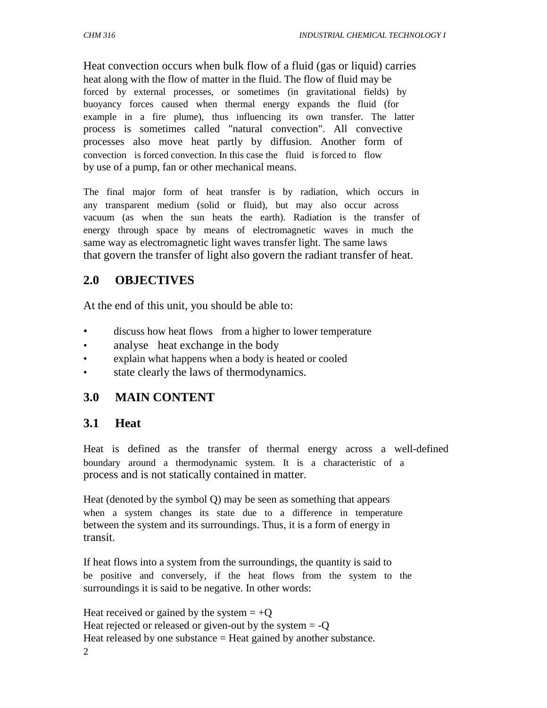Heat convection occurs when bulk flow of a fluid (gas or liquid) carries heat along with the flow of matter in the fluid. The flow of fluid may be forced by external processes, or sometimes (in gravitational fields) by buoyancy forces caused when thermal energy expands the fluid (for example in a fire plume), thus influencing its own transfer. The latter process is sometimes called "natural convection". All convective processes also move heat partly by diffusion. Another form of convection is forced convection. In this case the fluid is forced to flow by use of a pump, fan or other mechanical means.

The final major form of heat transfer is by radiation, which occurs in any transparent medium (solid or fluid), but may also occur across vacuum (as when the sun heats the earth). Radiation is the transfer of energy through space by means of electromagnetic waves in much the same way as electromagnetic light waves transfer light. The same laws that govern the transfer of light also govern the radiant transfer of heat.

#### **2.0 OBJECTIVES**

At the end of this unit, you should be able to:

- discuss how heat flows from a higher to lower temperature
- analyse heat exchange in the body
- explain what happens when a body is heated or cooled
- state clearly the laws of thermodynamics.

### **3.0 MAIN CONTENT**

#### **3.1 Heat**

Heat is defined as the transfer of thermal energy across a well-defined boundary around a thermodynamic system. It is a characteristic of a process and is not statically contained in matter.

Heat (denoted by the symbol Q) may be seen as something that appears when a system changes its state due to a difference in temperature between the system and its surroundings. Thus, it is a form of energy in transit.

If heat flows into a system from the surroundings, the quantity is said to be positive and conversely, if the heat flows from the system to the surroundings it is said to be negative. In other words:

Heat received or gained by the system  $= +Q$ Heat rejected or released or given-out by the system  $= -Q$ Heat released by one substance = Heat gained by another substance. 2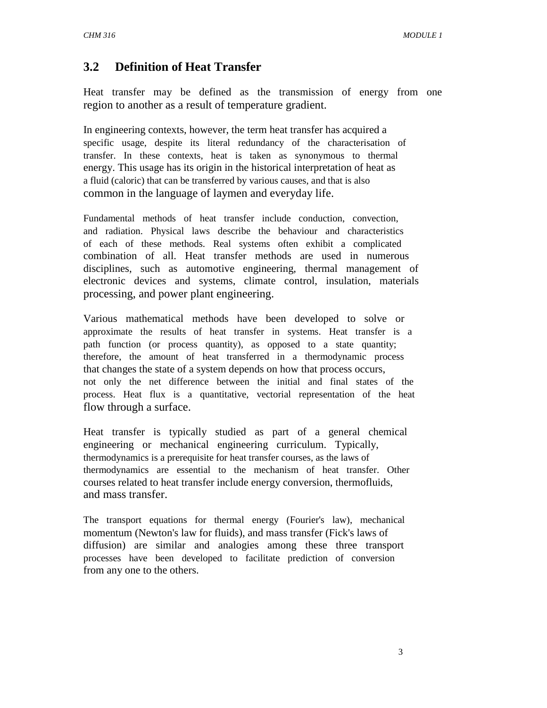#### **3.2 Definition of Heat Transfer**

Heat transfer may be defined as the transmission of energy from one region to another as a result of temperature gradient.

In engineering contexts, however, the term heat transfer has acquired a specific usage, despite its literal redundancy of the characterisation of transfer. In these contexts, heat is taken as synonymous to thermal energy. This usage has its origin in the historical interpretation of heat as a fluid (caloric) that can be transferred by various causes, and that is also common in the language of laymen and everyday life.

Fundamental methods of heat transfer include conduction, convection, and radiation. Physical laws describe the behaviour and characteristics of each of these methods. Real systems often exhibit a complicated combination of all. Heat transfer methods are used in numerous disciplines, such as automotive engineering, thermal management of electronic devices and systems, climate control, insulation, materials processing, and power plant engineering.

Various mathematical methods have been developed to solve or approximate the results of heat transfer in systems. Heat transfer is a path function (or process quantity), as opposed to a state quantity; therefore, the amount of heat transferred in a thermodynamic process that changes the state of a system depends on how that process occurs, not only the net difference between the initial and final states of the process. Heat flux is a quantitative, vectorial representation of the heat flow through a surface.

Heat transfer is typically studied as part of a general chemical engineering or mechanical engineering curriculum. Typically, thermodynamics is a prerequisite for heat transfer courses, as the laws of thermodynamics are essential to the mechanism of heat transfer. Other courses related to heat transfer include energy conversion, thermofluids, and mass transfer.

The transport equations for thermal energy (Fourier's law), mechanical momentum (Newton's law for fluids), and mass transfer (Fick's laws of diffusion) are similar and analogies among these three transport processes have been developed to facilitate prediction of conversion from any one to the others.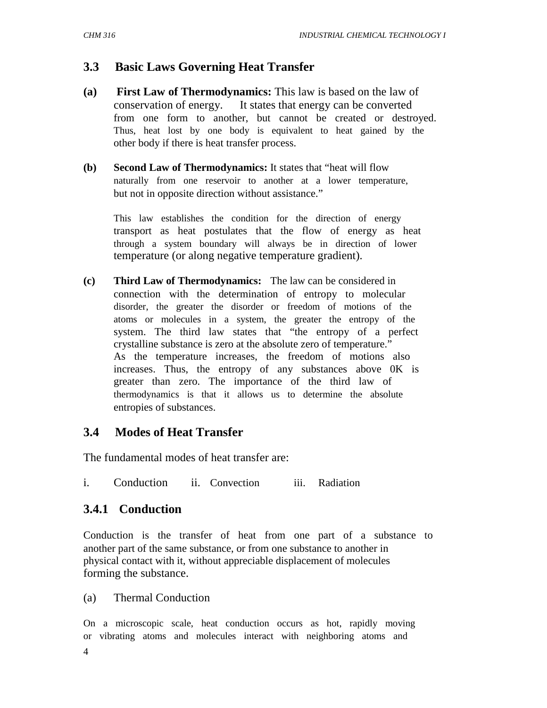#### **3.3 Basic Laws Governing Heat Transfer**

- **(a) First Law of Thermodynamics:** This law is based on the law of conservation of energy. It states that energy can be converted from one form to another, but cannot be created or destroyed. Thus, heat lost by one body is equivalent to heat gained by the other body if there is heat transfer process.
- **(b) Second Law of Thermodynamics:** It states that "heat will flow naturally from one reservoir to another at a lower temperature, but not in opposite direction without assistance."

This law establishes the condition for the direction of energy transport as heat postulates that the flow of energy as heat through a system boundary will always be in direction of lower temperature (or along negative temperature gradient).

**(c) Third Law of Thermodynamics:** The law can be considered in connection with the determination of entropy to molecular disorder, the greater the disorder or freedom of motions of the atoms or molecules in a system, the greater the entropy of the system. The third law states that "the entropy of a perfect crystalline substance is zero at the absolute zero of temperature." As the temperature increases, the freedom of motions also increases. Thus, the entropy of any substances above 0K is greater than zero. The importance of the third law of thermodynamics is that it allows us to determine the absolute entropies of substances.

#### **3.4 Modes of Heat Transfer**

The fundamental modes of heat transfer are:

i. Conduction ii. Convection iii. Radiation

#### **3.4.1 Conduction**

Conduction is the transfer of heat from one part of a substance to another part of the same substance, or from one substance to another in physical contact with it, without appreciable displacement of molecules forming the substance.

(a) Thermal Conduction

On a microscopic scale, heat conduction occurs as hot, rapidly moving or vibrating atoms and molecules interact with neighboring atoms and 4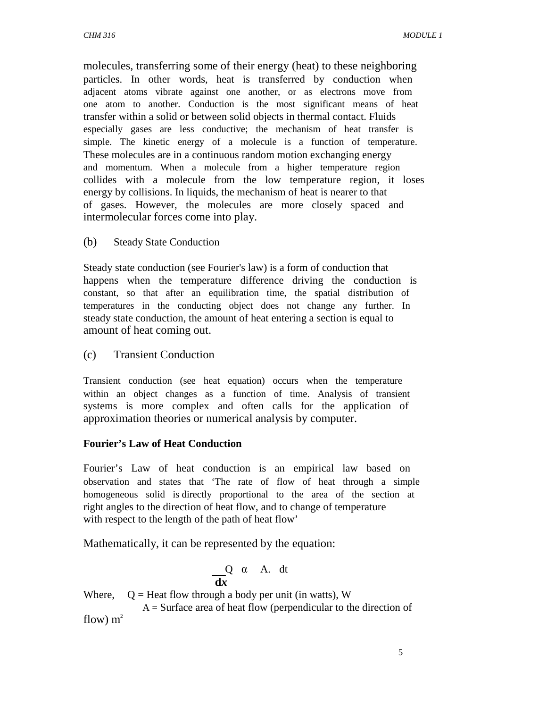molecules, transferring some of their energy (heat) to these neighboring particles. In other words, heat is transferred by conduction when adjacent atoms vibrate against one another, or as electrons move from one atom to another. Conduction is the most significant means of heat transfer within a solid or between solid objects in thermal contact. Fluids especially gases are less conductive; the mechanism of heat transfer is simple. The kinetic energy of a molecule is a function of temperature. These molecules are in a continuous random motion exchanging energy and momentum. When a molecule from a higher temperature region collides with a molecule from the low temperature region, it loses energy by collisions. In liquids, the mechanism of heat is nearer to that of gases. However, the molecules are more closely spaced and intermolecular forces come into play.

(b) Steady State Conduction

Steady state conduction (see Fourier's law) is a form of conduction that happens when the temperature difference driving the conduction is constant, so that after an equilibration time, the spatial distribution of temperatures in the conducting object does not change any further. In steady state conduction, the amount of heat entering a section is equal to amount of heat coming out.

(c) Transient Conduction

Transient conduction (see heat equation) occurs when the temperature within an object changes as a function of time. Analysis of transient systems is more complex and often calls for the application of approximation theories or numerical analysis by computer.

#### **Fourier's Law of Heat Conduction**

Fourier's Law of heat conduction is an empirical law based on observation and states that 'The rate of flow of heat through a simple homogeneous solid is directly proportional to the area of the section at right angles to the direction of heat flow, and to change of temperature with respect to the length of the path of heat flow'

Mathematically, it can be represented by the equation:

$$
\frac{Q}{dx} \alpha A. dt
$$

Where,  $Q =$  Heat flow through a body per unit (in watts), W  $A =$  Surface area of heat flow (perpendicular to the direction of flow)  $m^2$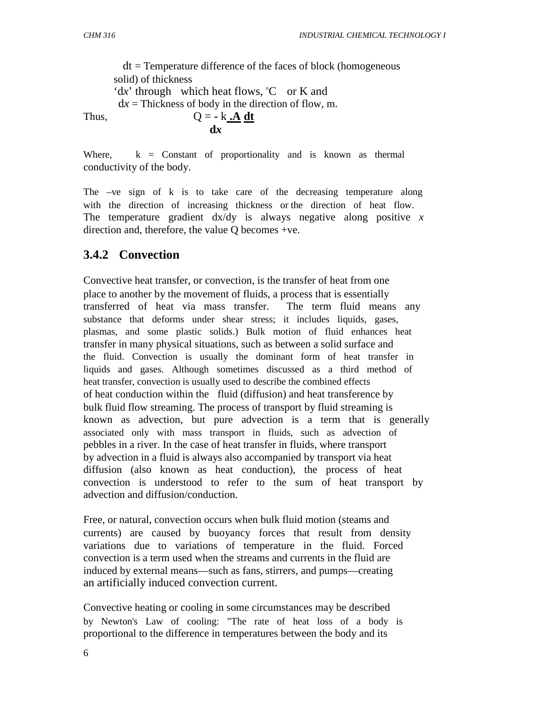$dt$  = Temperature difference of the faces of block (homogeneous solid) of thickness 'dx' through which heat flows,  $\degree$ C or K and  $dx =$ Thickness of body in the direction of flow, m. Thus,  $Q = -k \cdot A \, dt$ 

**d***x*

Where,  $k =$  Constant of proportionality and is known as thermal conductivity of the body.

The –ve sign of k is to take care of the decreasing temperature along with the direction of increasing thickness or the direction of heat flow. The temperature gradient dx/dy is always negative along positive *x*  direction and, therefore, the value Q becomes +ve.

### **3.4.2 Convection**

Convective heat transfer, or convection, is the transfer of heat from one place to another by the movement of fluids, a process that is essentially transferred of heat via mass transfer. The term fluid means any substance that deforms under shear stress; it includes liquids, gases, plasmas, and some plastic solids.) Bulk motion of fluid enhances heat transfer in many physical situations, such as between a solid surface and the fluid. Convection is usually the dominant form of heat transfer in liquids and gases. Although sometimes discussed as a third method of heat transfer, convection is usually used to describe the combined effects of heat conduction within the fluid (diffusion) and heat transference by bulk fluid flow streaming. The process of transport by fluid streaming is known as advection, but pure advection is a term that is generally associated only with mass transport in fluids, such as advection of pebbles in a river. In the case of heat transfer in fluids, where transport by advection in a fluid is always also accompanied by transport via heat diffusion (also known as heat conduction), the process of heat convection is understood to refer to the sum of heat transport by advection and diffusion/conduction.

Free, or natural, convection occurs when bulk fluid motion (steams and currents) are caused by buoyancy forces that result from density variations due to variations of temperature in the fluid. Forced convection is a term used when the streams and currents in the fluid are induced by external means—such as fans, stirrers, and pumps—creating an artificially induced convection current.

Convective heating or cooling in some circumstances may be described by Newton's Law of cooling: "The rate of heat loss of a body is proportional to the difference in temperatures between the body and its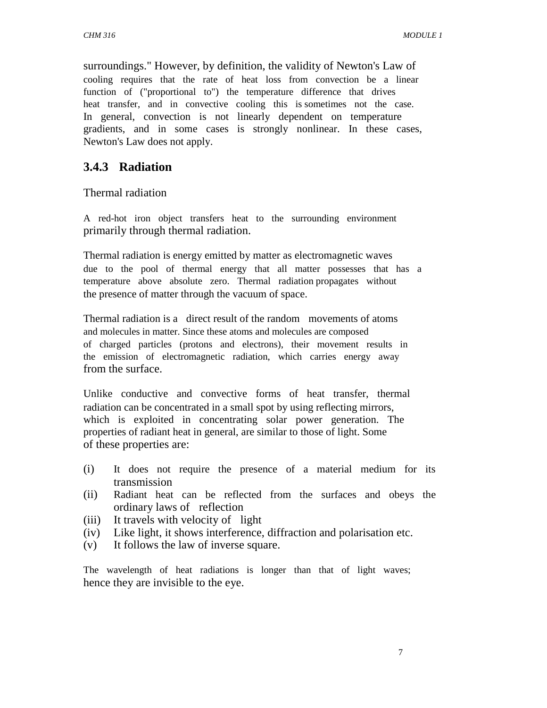surroundings." However, by definition, the validity of Newton's Law of cooling requires that the rate of heat loss from convection be a linear function of ("proportional to") the temperature difference that drives heat transfer, and in convective cooling this is sometimes not the case. In general, convection is not linearly dependent on temperature gradients, and in some cases is strongly nonlinear. In these cases, Newton's Law does not apply.

#### **3.4.3 Radiation**

Thermal radiation

A red-hot iron object transfers heat to the surrounding environment primarily through thermal radiation.

Thermal radiation is energy emitted by matter as electromagnetic waves due to the pool of thermal energy that all matter possesses that has a temperature above absolute zero. Thermal radiation propagates without the presence of matter through the vacuum of space.

Thermal radiation is a direct result of the random movements of atoms and molecules in matter. Since these atoms and molecules are composed of charged particles (protons and electrons), their movement results in the emission of electromagnetic radiation, which carries energy away from the surface.

Unlike conductive and convective forms of heat transfer, thermal radiation can be concentrated in a small spot by using reflecting mirrors, which is exploited in concentrating solar power generation. The properties of radiant heat in general, are similar to those of light. Some of these properties are:

- (i) It does not require the presence of a material medium for its transmission
- (ii) Radiant heat can be reflected from the surfaces and obeys the ordinary laws of reflection
- (iii) It travels with velocity of light
- (iv) Like light, it shows interference, diffraction and polarisation etc.
- (v) It follows the law of inverse square.

The wavelength of heat radiations is longer than that of light waves; hence they are invisible to the eye.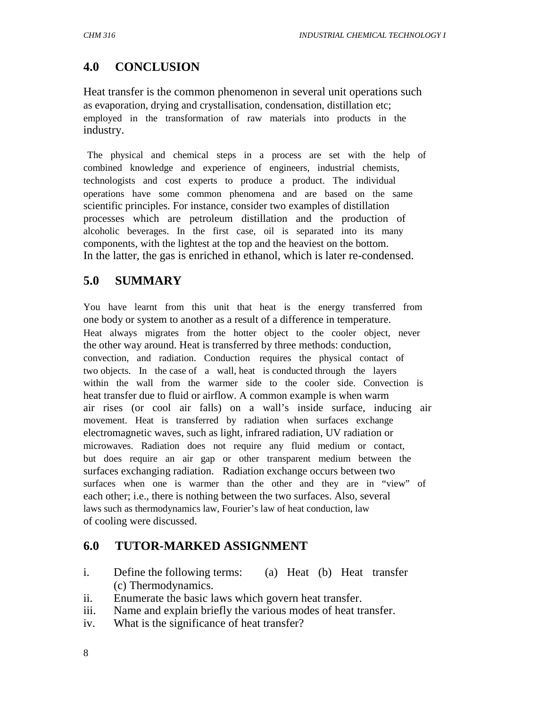## **4.0 CONCLUSION**

Heat transfer is the common phenomenon in several unit operations such as evaporation, drying and crystallisation, condensation, distillation etc; employed in the transformation of raw materials into products in the industry.

 The physical and chemical steps in a process are set with the help of combined knowledge and experience of engineers, industrial chemists, technologists and cost experts to produce a product. The individual operations have some common phenomena and are based on the same scientific principles. For instance, consider two examples of distillation processes which are petroleum distillation and the production of alcoholic beverages. In the first case, oil is separated into its many components, with the lightest at the top and the heaviest on the bottom. In the latter, the gas is enriched in ethanol, which is later re-condensed.

#### **5.0 SUMMARY**

You have learnt from this unit that heat is the energy transferred from one body or system to another as a result of a difference in temperature. Heat always migrates from the hotter object to the cooler object, never the other way around. Heat is transferred by three methods: conduction, convection, and radiation. Conduction requires the physical contact of two objects. In the case of a wall, heat is conducted through the layers within the wall from the warmer side to the cooler side. Convection is heat transfer due to fluid or airflow. A common example is when warm air rises (or cool air falls) on a wall's inside surface, inducing air movement. Heat is transferred by radiation when surfaces exchange electromagnetic waves, such as light, infrared radiation, UV radiation or microwaves. Radiation does not require any fluid medium or contact, but does require an air gap or other transparent medium between the surfaces exchanging radiation. Radiation exchange occurs between two surfaces when one is warmer than the other and they are in "view" of each other; i.e., there is nothing between the two surfaces. Also, several laws such as thermodynamics law, Fourier's law of heat conduction, law of cooling were discussed.

#### **6.0 TUTOR-MARKED ASSIGNMENT**

- i. Define the following terms: (c) Thermodynamics. (a) Heat (b) Heat transfer
- ii. Enumerate the basic laws which govern heat transfer.
- iii. Name and explain briefly the various modes of heat transfer.
- iv. What is the significance of heat transfer?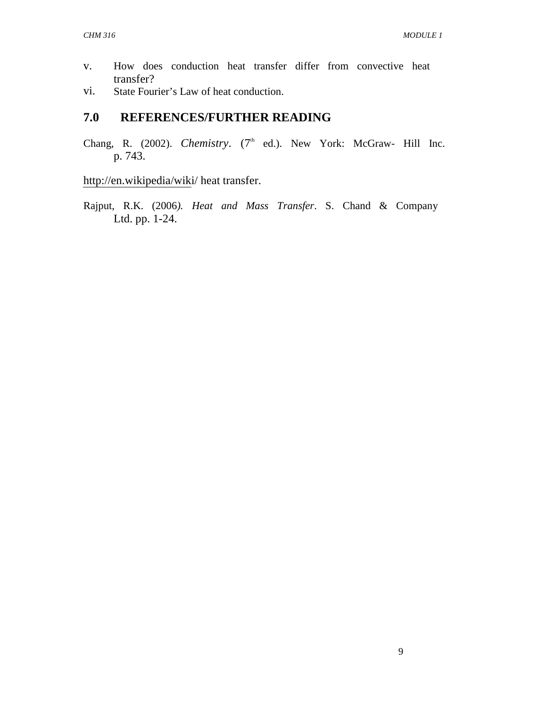- v. How does conduction heat transfer differ from convective heat transfer?
- vi. State Fourier's Law of heat conduction.

#### **7.0 REFERENCES/FURTHER READING**

Chang, R. (2002). *Chemistry*. (7<sup>th</sup> ed.). New York: McGraw- Hill Inc. p. 743.

http://en.wikipedia/wiki/ heat transfer.

Rajput, R.K. (2006*). Heat and Mass Transfer*. S. Chand & Company Ltd. pp. 1-24.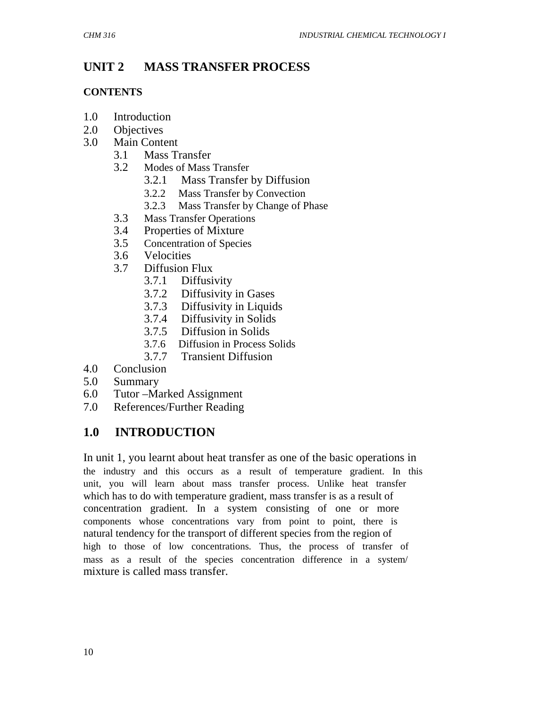## **UNIT 2 MASS TRANSFER PROCESS**

#### **CONTENTS**

- 1.0 Introduction
- 2.0 Objectives
- 3.0 Main Content
	- 3.1 Mass Transfer
	- 3.2 Modes of Mass Transfer
		- 3.2.1 Mass Transfer by Diffusion
		- 3.2.2 Mass Transfer by Convection
		- 3.2.3 Mass Transfer by Change of Phase
	- 3.3 Mass Transfer Operations
	- 3.4 Properties of Mixture
	- 3.5 Concentration of Species
	- 3.6 Velocities
	- 3.7 Diffusion Flux
		- 3.7.1 Diffusivity
		- 3.7.2 Diffusivity in Gases
		- 3.7.3 Diffusivity in Liquids
		- 3.7.4 Diffusivity in Solids
		- 3.7.5 Diffusion in Solids
		- 3.7.6 Diffusion in Process Solids
		- 3.7.7 Transient Diffusion
- 4.0 Conclusion
- 5.0 Summary
- 6.0 Tutor –Marked Assignment
- 7.0 References/Further Reading

# **1.0 INTRODUCTION**

In unit 1, you learnt about heat transfer as one of the basic operations in the industry and this occurs as a result of temperature gradient. In this unit, you will learn about mass transfer process. Unlike heat transfer which has to do with temperature gradient, mass transfer is as a result of concentration gradient. In a system consisting of one or more components whose concentrations vary from point to point, there is natural tendency for the transport of different species from the region of high to those of low concentrations. Thus, the process of transfer of mass as a result of the species concentration difference in a system/ mixture is called mass transfer.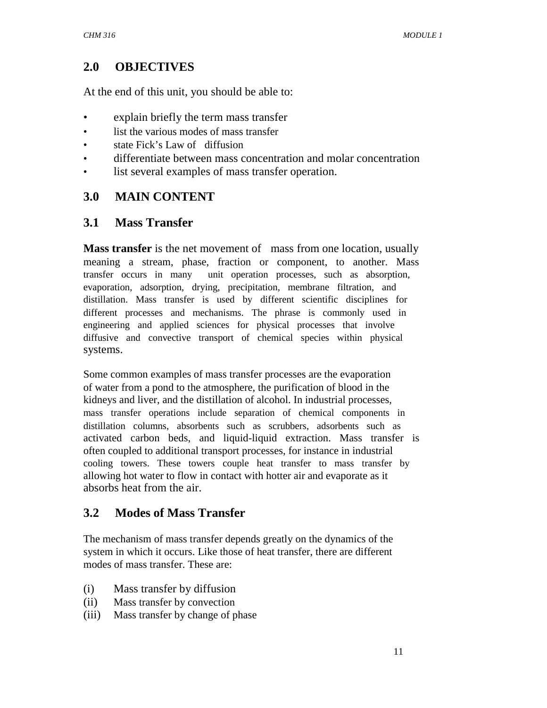### **2.0 OBJECTIVES**

At the end of this unit, you should be able to:

- explain briefly the term mass transfer
- list the various modes of mass transfer
- state Fick's Law of diffusion
- differentiate between mass concentration and molar concentration
- list several examples of mass transfer operation.

#### **3.0 MAIN CONTENT**

#### **3.1 Mass Transfer**

**Mass transfer** is the net movement of mass from one location, usually meaning a stream, phase, fraction or component, to another. Mass transfer occurs in many unit operation processes, such as absorption, evaporation, adsorption, drying, precipitation, membrane filtration, and distillation. Mass transfer is used by different scientific disciplines for different processes and mechanisms. The phrase is commonly used in engineering and applied sciences for physical processes that involve diffusive and convective transport of chemical species within physical systems.

Some common examples of mass transfer processes are the evaporation of water from a pond to the atmosphere, the purification of blood in the kidneys and liver, and the distillation of alcohol. In industrial processes, mass transfer operations include separation of chemical components in distillation columns, absorbents such as scrubbers, adsorbents such as activated carbon beds, and liquid-liquid extraction. Mass transfer is often coupled to additional transport processes, for instance in industrial cooling towers. These towers couple heat transfer to mass transfer by allowing hot water to flow in contact with hotter air and evaporate as it absorbs heat from the air.

### **3.2 Modes of Mass Transfer**

The mechanism of mass transfer depends greatly on the dynamics of the system in which it occurs. Like those of heat transfer, there are different modes of mass transfer. These are:

- (i) Mass transfer by diffusion
- (ii) Mass transfer by convection
- (iii) Mass transfer by change of phase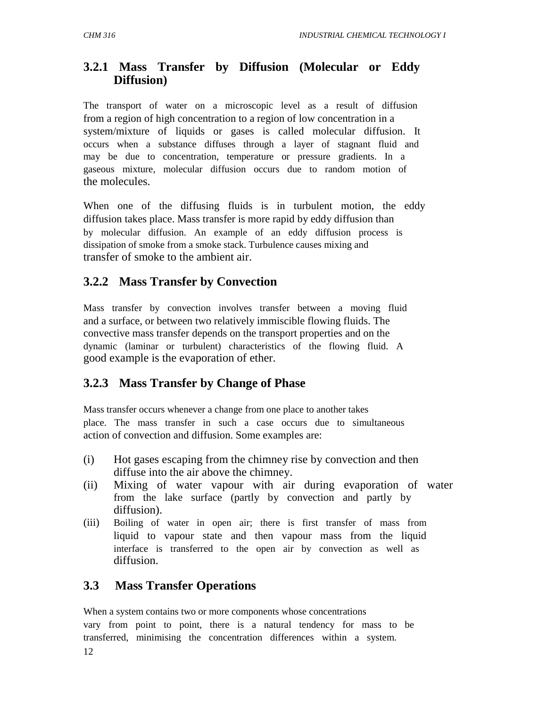#### **3.2.1 Mass Transfer by Diffusion (Molecular or Eddy Diffusion)**

The transport of water on a microscopic level as a result of diffusion from a region of high concentration to a region of low concentration in a system/mixture of liquids or gases is called molecular diffusion. It occurs when a substance diffuses through a layer of stagnant fluid and may be due to concentration, temperature or pressure gradients. In a gaseous mixture, molecular diffusion occurs due to random motion of the molecules.

When one of the diffusing fluids is in turbulent motion, the eddy diffusion takes place. Mass transfer is more rapid by eddy diffusion than by molecular diffusion. An example of an eddy diffusion process is dissipation of smoke from a smoke stack. Turbulence causes mixing and transfer of smoke to the ambient air.

## **3.2.2 Mass Transfer by Convection**

Mass transfer by convection involves transfer between a moving fluid and a surface, or between two relatively immiscible flowing fluids. The convective mass transfer depends on the transport properties and on the dynamic (laminar or turbulent) characteristics of the flowing fluid. A good example is the evaporation of ether.

# **3.2.3 Mass Transfer by Change of Phase**

Mass transfer occurs whenever a change from one place to another takes place. The mass transfer in such a case occurs due to simultaneous action of convection and diffusion. Some examples are:

- (i) Hot gases escaping from the chimney rise by convection and then diffuse into the air above the chimney.
- (ii) Mixing of water vapour with air during evaporation of water from the lake surface (partly by convection and partly by diffusion).
- (iii) Boiling of water in open air; there is first transfer of mass from liquid to vapour state and then vapour mass from the liquid interface is transferred to the open air by convection as well as diffusion.

# **3.3 Mass Transfer Operations**

When a system contains two or more components whose concentrations

vary from point to point, there is a natural tendency for mass to be transferred, minimising the concentration differences within a system.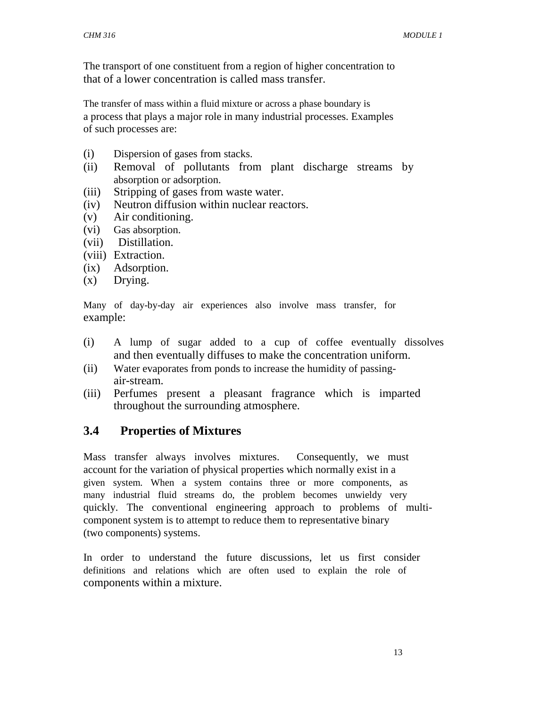The transport of one constituent from a region of higher concentration to that of a lower concentration is called mass transfer.

The transfer of mass within a fluid mixture or across a phase boundary is a process that plays a major role in many industrial processes. Examples of such processes are:

- (i) Dispersion of gases from stacks.
- (ii) Removal of pollutants from plant discharge streams by absorption or adsorption.
- (iii) Stripping of gases from waste water.
- (iv) Neutron diffusion within nuclear reactors.
- (v) Air conditioning.
- (vi) Gas absorption.
- (vii) Distillation.
- (viii) Extraction.
- (ix) Adsorption.
- (x) Drying.

Many of day-by-day air experiences also involve mass transfer, for example:

- (i) A lump of sugar added to a cup of coffee eventually dissolves and then eventually diffuses to make the concentration uniform.
- (ii) Water evaporates from ponds to increase the humidity of passingair-stream.
- (iii) Perfumes present a pleasant fragrance which is imparted throughout the surrounding atmosphere.

### **3.4 Properties of Mixtures**

Mass transfer always involves mixtures. Consequently, we must account for the variation of physical properties which normally exist in a given system. When a system contains three or more components, as many industrial fluid streams do, the problem becomes unwieldy very quickly. The conventional engineering approach to problems of multicomponent system is to attempt to reduce them to representative binary (two components) systems.

In order to understand the future discussions, let us first consider definitions and relations which are often used to explain the role of components within a mixture.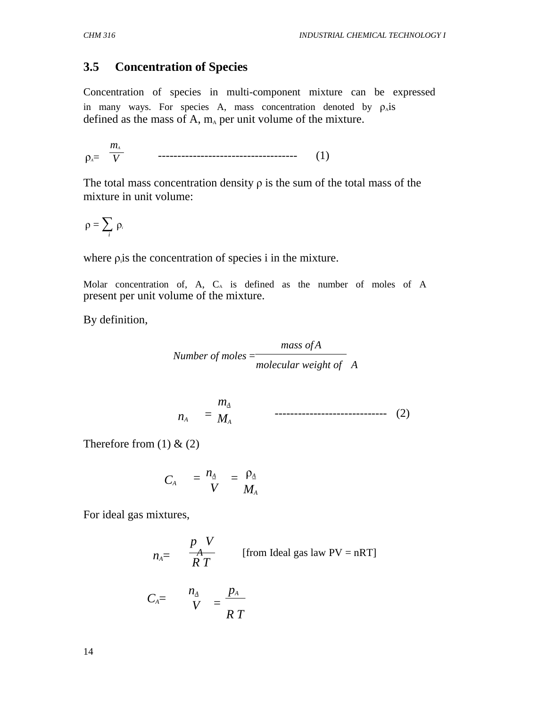#### **3.5 Concentration of Species**

Concentration of species in multi-component mixture can be expressed in many ways. For species A, mass concentration denoted by  $\rho_A$ is defined as the mass of A,  $m_A$  per unit volume of the mixture.

 $m_A$ ρ*A*= *V* ------------------------------------ (1)

The total mass concentration density  $\rho$  is the sum of the total mass of the mixture in unit volume:

$$
\rho=\sum_i\ \rho_i
$$

where  $\rho_i$  is the concentration of species i in the mixture.

Molar concentration of, A,  $C_A$  is defined as the number of moles of A present per unit volume of the mixture.

By definition,

$$
Number of moles = \frac{mass \ of A}{molecular \ weight \ of} \ A
$$

$$
n_A = \frac{m_A}{M_A} \qquad \qquad \qquad \qquad - \qquad (2)
$$

Therefore from  $(1)$  &  $(2)$ 

$$
C_A = \frac{n_A}{V} = \frac{\rho_A}{M_A}
$$

For ideal gas mixtures,

$$
n_{A} = \frac{p V}{R T}
$$
 [from Ideal gas law PV = nRT]  

$$
n_{A} = \frac{n_{A}}{R T}
$$

$$
C_A = \frac{n_A}{V} = \frac{P_A}{R T}
$$

14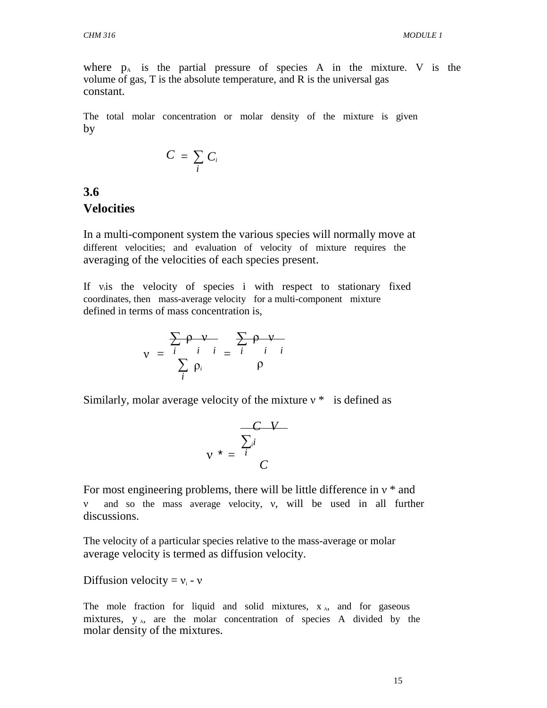where  $p_A$  is the partial pressure of species A in the mixture. V is the volume of gas, T is the absolute temperature, and R is the universal gas constant.

The total molar concentration or molar density of the mixture is given by

$$
C = \sum_i C_i
$$

#### **3.6**

#### **Velocities**

In a multi-component system the various species will normally move at different velocities; and evaluation of velocity of mixture requires the averaging of the velocities of each species present.

If  $v<sub>i</sub>$  is the velocity of species i with respect to stationary fixed coordinates, then mass-average velocity for a multi-component mixture defined in terms of mass concentration is,

$$
v = \frac{\sum_{i} \rho v}{\sum_{i} \rho_{i}} = \frac{\sum_{i} \rho v}{\rho}
$$

Similarly, molar average velocity of the mixture  $v^*$  is defined as

$$
v^* = \frac{\sum_{i}^{C} V}{C}
$$

For most engineering problems, there will be little difference in  $v *$  and ν and so the mass average velocity, ν, will be used in all further discussions.

The velocity of a particular species relative to the mass-average or molar average velocity is termed as diffusion velocity.

Diffusion velocity =  $v_i$  -  $v_j$ 

The mole fraction for liquid and solid mixtures,  $x_A$ , and for gaseous mixtures,  $y_A$ , are the molar concentration of species A divided by the molar density of the mixtures.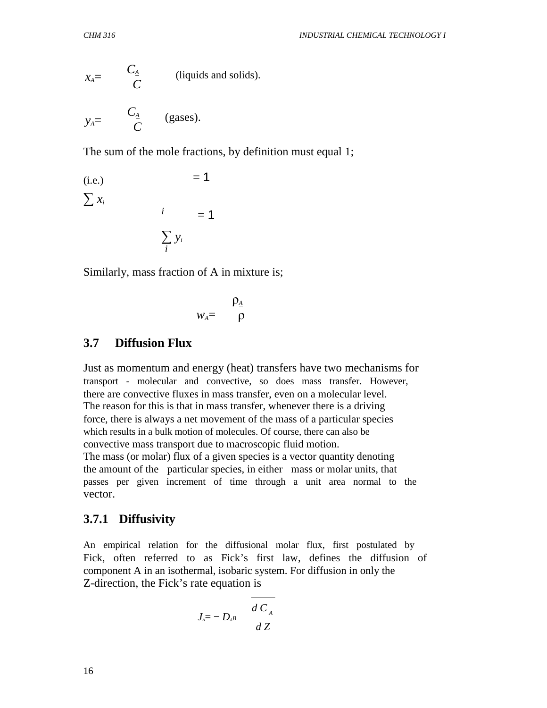$$
x_A = \frac{C_A}{C}
$$
 (liquids and solids).

$$
y_A = \frac{C_A}{C} \qquad \text{(gases)}.
$$

The sum of the mole fractions, by definition must equal 1;

(i.e.) 
$$
= 1
$$

$$
\sum x_i
$$

$$
i = 1
$$

$$
\sum_i y_i
$$

Similarly, mass fraction of A in mixture is;

$$
w_A = \begin{array}{c} \rho_A \\ \rho \end{array}
$$

#### **3.7 Diffusion Flux**

Just as momentum and energy (heat) transfers have two mechanisms for transport - molecular and convective, so does mass transfer. However, there are convective fluxes in mass transfer, even on a molecular level. The reason for this is that in mass transfer, whenever there is a driving force, there is always a net movement of the mass of a particular species which results in a bulk motion of molecules. Of course, there can also be convective mass transport due to macroscopic fluid motion. The mass (or molar) flux of a given species is a vector quantity denoting the amount of the particular species, in either mass or molar units, that passes per given increment of time through a unit area normal to the vector.

#### **3.7.1 Diffusivity**

An empirical relation for the diffusional molar flux, first postulated by Fick, often referred to as Fick's first law, defines the diffusion of component A in an isothermal, isobaric system. For diffusion in only the Z-direction, the Fick's rate equation is

$$
J_{A} = - D_{AB} \qquad \begin{array}{c} d \ C_{A} \\ d \ Z \end{array}
$$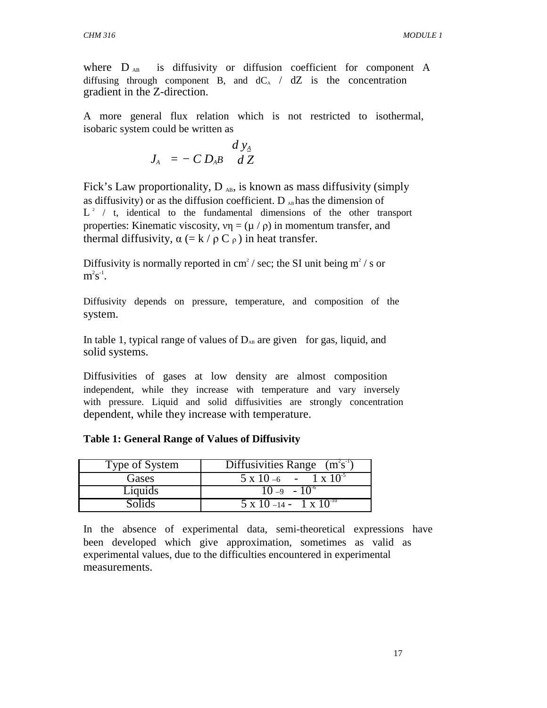where  $D_{AB}$  is diffusivity or diffusion coefficient for component A diffusing through component B, and  $dC_A$  /  $dZ$  is the concentration gradient in the Z-direction.

A more general flux relation which is not restricted to isothermal, isobaric system could be written as

$$
J_A = - C D_A B \frac{d y_A}{d Z}
$$

Fick's Law proportionality,  $D_{AB}$ , is known as mass diffusivity (simply as diffusivity) or as the diffusion coefficient. D<sub>AB</sub> has the dimension of  $L^2$  / t, identical to the fundamental dimensions of the other transport properties: Kinematic viscosity,  $\nu \eta = (\mu / \rho)$  in momentum transfer, and thermal diffusivity,  $\alpha$  (= k / ρ C ρ) in heat transfer.

Diffusivity is normally reported in cm<sup>2</sup> / sec; the SI unit being m<sup>2</sup> / s or  $m^2s^{\text{-}1}$ .

Diffusivity depends on pressure, temperature, and composition of the system.

In table 1, typical range of values of  $D_{AB}$  are given for gas, liquid, and solid systems.

Diffusivities of gases at low density are almost composition independent, while they increase with temperature and vary inversely with pressure. Liquid and solid diffusivities are strongly concentration dependent, while they increase with temperature.

| <b>Table 1: General Range of Values of Diffusivity</b> |  |
|--------------------------------------------------------|--|
|--------------------------------------------------------|--|

| Type of System | Diffusivities Range $(m^2s^1)$            |
|----------------|-------------------------------------------|
| Gases          | $5 \times 10^{-6}$ - $1 \times 10^{5}$    |
| Liquids        | $10 - 9 - 10^{-6}$                        |
| <b>Solids</b>  | $5 \times 10^{-14}$ - 1 $\times 10^{-10}$ |

In the absence of experimental data, semi-theoretical expressions have been developed which give approximation, sometimes as valid as experimental values, due to the difficulties encountered in experimental measurements.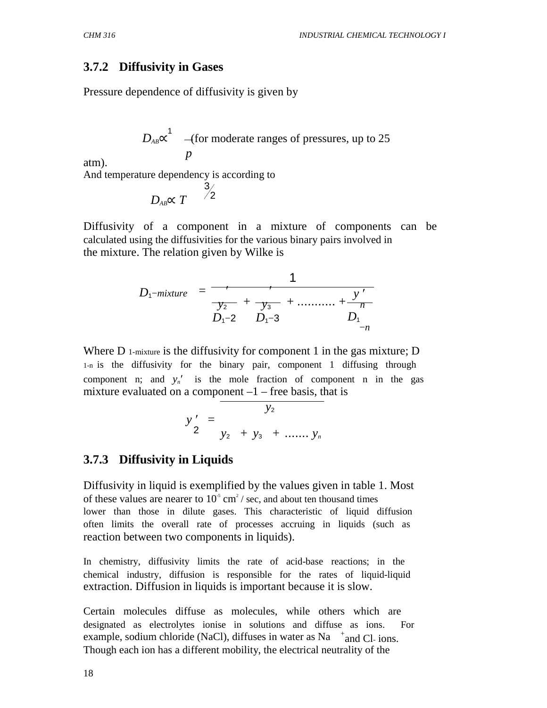atm).

#### **3.7.2 Diffusivity in Gases**

Pressure dependence of diffusivity is given by

$$
D_{AB}
$$
<sup>1</sup> –(for moderate ranges of pressures, up to 25  
*p*

And temperature dependency is according to

$$
D_{AB} \propto T \qquad \frac{3}{2}
$$

Diffusivity of a component in a mixture of components can be calculated using the diffusivities for the various binary pairs involved in the mixture. The relation given by Wilke is

$$
D_{1-mixture} = \frac{1}{\frac{y_2}{D_1 - 2} + \frac{y_3}{D_1 - 3} + \dots + \frac{y_n}{D_n}}
$$

Where D 1-mixture is the diffusivity for component 1 in the gas mixture; D 1-n is the diffusivity for the binary pair, component 1 diffusing through component n; and  $y_n'$  is the mole fraction of component n in the gas mixture evaluated on a component  $-1$  – free basis, that is

$$
y'_{2} = \frac{y_{2}}{y_{2} + y_{3} + \dots + y_{n}}
$$

#### **3.7.3 Diffusivity in Liquids**

Diffusivity in liquid is exemplified by the values given in table 1. Most of these values are nearer to  $10^5$  cm<sup>2</sup> / sec, and about ten thousand times lower than those in dilute gases. This characteristic of liquid diffusion often limits the overall rate of processes accruing in liquids (such as reaction between two components in liquids).

In chemistry, diffusivity limits the rate of acid-base reactions; in the chemical industry, diffusion is responsible for the rates of liquid-liquid extraction. Diffusion in liquids is important because it is slow.

Certain molecules diffuse as molecules, while others which are designated as electrolytes ionise in solutions and diffuse as ions. For example, sodium chloride (NaCl), diffuses in water as Na  $^+$  and Cl ions. Though each ion has a different mobility, the electrical neutrality of the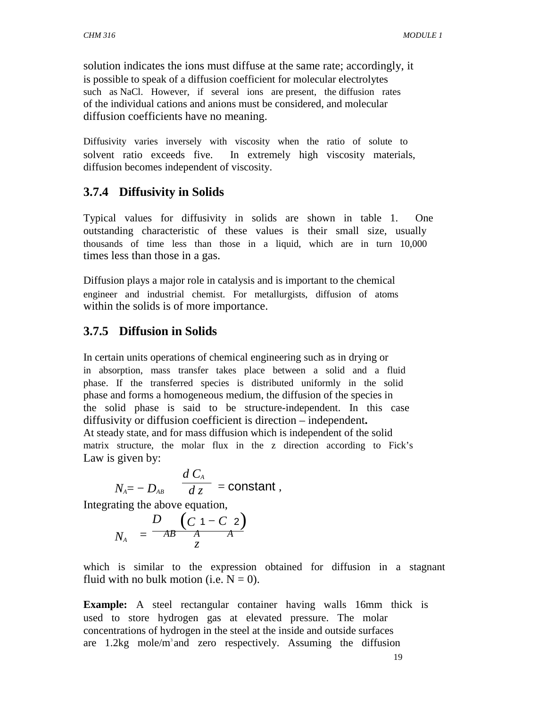solution indicates the ions must diffuse at the same rate; accordingly, it is possible to speak of a diffusion coefficient for molecular electrolytes such as NaCl. However, if several ions are present, the diffusion rates of the individual cations and anions must be considered, and molecular diffusion coefficients have no meaning.

Diffusivity varies inversely with viscosity when the ratio of solute to solvent ratio exceeds five. In extremely high viscosity materials, diffusion becomes independent of viscosity.

### **3.7.4 Diffusivity in Solids**

Typical values for diffusivity in solids are shown in table 1. One outstanding characteristic of these values is their small size, usually thousands of time less than those in a liquid, which are in turn 10,000 times less than those in a gas.

Diffusion plays a major role in catalysis and is important to the chemical engineer and industrial chemist. For metallurgists, diffusion of atoms within the solids is of more importance.

# **3.7.5 Diffusion in Solids**

In certain units operations of chemical engineering such as in drying or in absorption, mass transfer takes place between a solid and a fluid phase. If the transferred species is distributed uniformly in the solid phase and forms a homogeneous medium, the diffusion of the species in the solid phase is said to be structure-independent. In this case diffusivity or diffusion coefficient is direction – independent**.**  At steady state, and for mass diffusion which is independent of the solid matrix structure, the molar flux in the z direction according to Fick's Law is given by:

$$
N_{A} = -D_{AB} \qquad \frac{d\ C_{A}}{d\ z} = \text{constant} \ ,
$$

Integrating the above equation,

$$
N_A = \frac{D \left(C 1 - C 2\right)}{AB \left(\frac{A}{A}\right)}
$$

which is similar to the expression obtained for diffusion in a stagnant fluid with no bulk motion (i.e.  $N = 0$ ).

**Example:** A steel rectangular container having walls 16mm thick is used to store hydrogen gas at elevated pressure. The molar concentrations of hydrogen in the steel at the inside and outside surfaces are  $1.2\text{kg}$  mole/m<sup>3</sup> and zero respectively. Assuming the diffusion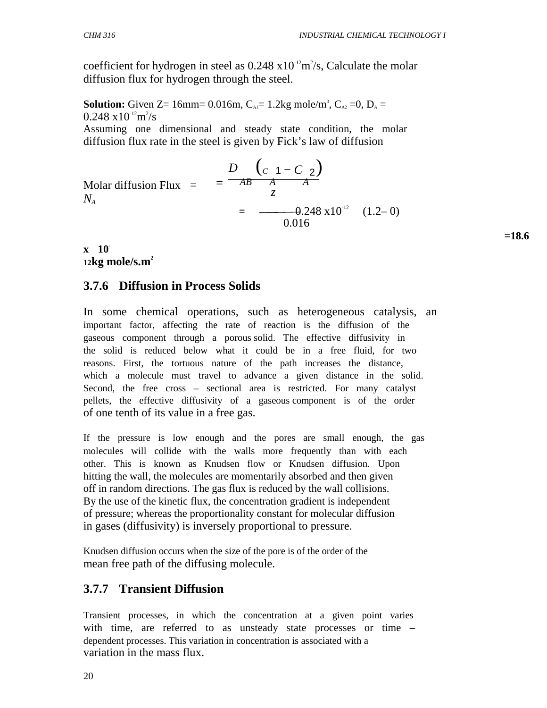coefficient for hydrogen in steel as  $0.248 \times 10^{-12} \text{m}^2/\text{s}$ , Calculate the molar diffusion flux for hydrogen through the steel.

**Solution:** Given Z= 16mm=  $0.016$ m, C<sub>A1</sub>=  $1.2$ kg mole/m<sup>3</sup>, C<sub>A2</sub> = 0, D<sub>A</sub> =  $0.248 \times 10^{-12}$ m<sup>2</sup>/s Assuming one dimensional and steady state condition, the molar diffusion flux rate in the steel is given by Fick's law of diffusion

Molar diffusion Flux 
$$
=
$$
  $=$   $=$   $\frac{D}{AB} \frac{(C_{1} - C_{2})}{A}$   
 $=$   $=$   $\frac{D}{2}$   $=$   $\frac{A}{2}$   
 $=$   $=$   $=$   $-\frac{0.248 \times 10^{-12}}{0.016}$   $=$   $=$   $18.6$ 

**x 10- <sup>12</sup>kg mole/s.m<sup>2</sup>**

#### **3.7.6 Diffusion in Process Solids**

In some chemical operations, such as heterogeneous catalysis, an important factor, affecting the rate of reaction is the diffusion of the gaseous component through a porous solid. The effective diffusivity in the solid is reduced below what it could be in a free fluid, for two reasons. First, the tortuous nature of the path increases the distance, which a molecule must travel to advance a given distance in the solid. Second, the free cross – sectional area is restricted. For many catalyst pellets, the effective diffusivity of a gaseous component is of the order of one tenth of its value in a free gas.

If the pressure is low enough and the pores are small enough, the gas molecules will collide with the walls more frequently than with each other. This is known as Knudsen flow or Knudsen diffusion. Upon hitting the wall, the molecules are momentarily absorbed and then given off in random directions. The gas flux is reduced by the wall collisions. By the use of the kinetic flux, the concentration gradient is independent of pressure; whereas the proportionality constant for molecular diffusion in gases (diffusivity) is inversely proportional to pressure.

Knudsen diffusion occurs when the size of the pore is of the order of the mean free path of the diffusing molecule.

### **3.7.7 Transient Diffusion**

Transient processes, in which the concentration at a given point varies with time, are referred to as unsteady state processes or time – dependent processes. This variation in concentration is associated with a variation in the mass flux.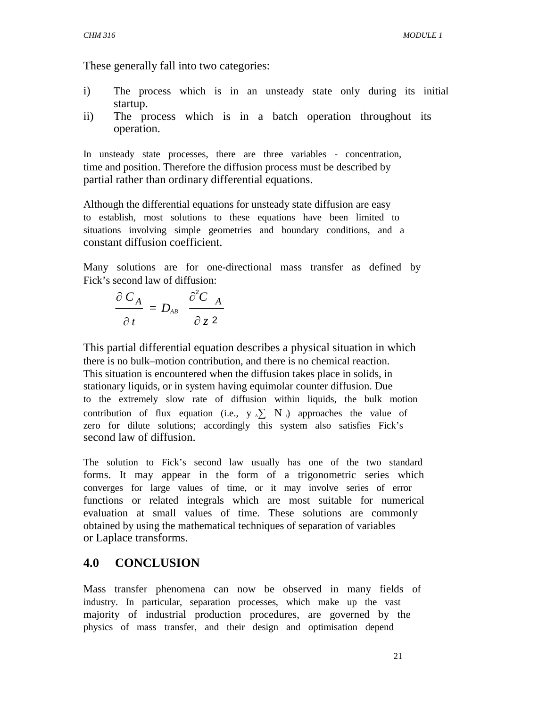These generally fall into two categories:

- i) The process which is in an unsteady state only during its initial startup.
- ii) The process which is in a batch operation throughout its operation.

In unsteady state processes, there are three variables - concentration, time and position. Therefore the diffusion process must be described by partial rather than ordinary differential equations.

Although the differential equations for unsteady state diffusion are easy to establish, most solutions to these equations have been limited to situations involving simple geometries and boundary conditions, and a constant diffusion coefficient.

Many solutions are for one-directional mass transfer as defined by Fick's second law of diffusion:

$$
\frac{\partial \ C_A}{\partial t} = D_{AB} \frac{\partial^2 C_A}{\partial z^2}
$$

This partial differential equation describes a physical situation in which there is no bulk–motion contribution, and there is no chemical reaction. This situation is encountered when the diffusion takes place in solids, in stationary liquids, or in system having equimolar counter diffusion. Due to the extremely slow rate of diffusion within liquids, the bulk motion contribution of flux equation (i.e.,  $y \Delta \sum N_i$ ) approaches the value of zero for dilute solutions; accordingly this system also satisfies Fick's second law of diffusion.

The solution to Fick's second law usually has one of the two standard forms. It may appear in the form of a trigonometric series which converges for large values of time, or it may involve series of error functions or related integrals which are most suitable for numerical evaluation at small values of time. These solutions are commonly obtained by using the mathematical techniques of separation of variables or Laplace transforms.

#### **4.0 CONCLUSION**

Mass transfer phenomena can now be observed in many fields of industry. In particular, separation processes, which make up the vast majority of industrial production procedures, are governed by the physics of mass transfer, and their design and optimisation depend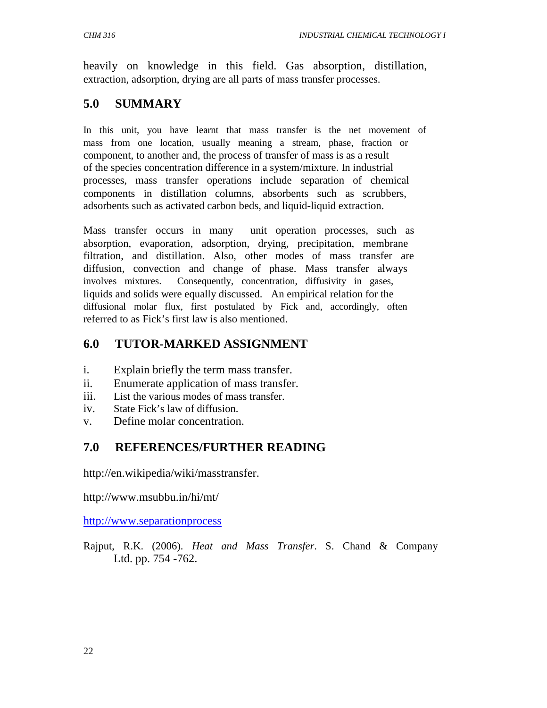heavily on knowledge in this field. Gas absorption, distillation, extraction, adsorption, drying are all parts of mass transfer processes.

## **5.0 SUMMARY**

In this unit, you have learnt that mass transfer is the net movement of mass from one location, usually meaning a stream, phase, fraction or component, to another and, the process of transfer of mass is as a result of the species concentration difference in a system/mixture. In industrial processes, mass transfer operations include separation of chemical components in distillation columns, absorbents such as scrubbers, adsorbents such as activated carbon beds, and liquid-liquid extraction.

Mass transfer occurs in many unit operation processes, such as absorption, evaporation, adsorption, drying, precipitation, membrane filtration, and distillation. Also, other modes of mass transfer are diffusion, convection and change of phase. Mass transfer always involves mixtures. Consequently, concentration, diffusivity in gases, liquids and solids were equally discussed. An empirical relation for the diffusional molar flux, first postulated by Fick and, accordingly, often referred to as Fick's first law is also mentioned.

### **6.0 TUTOR-MARKED ASSIGNMENT**

- i. Explain briefly the term mass transfer.
- ii. Enumerate application of mass transfer.
- iii. List the various modes of mass transfer.
- iv. State Fick's law of diffusion.
- v. Define molar concentration.

#### **7.0 REFERENCES/FURTHER READING**

http://en.wikipedia/wiki/masstransfer.

http://www.msubbu.in/hi/mt/

http://www.separationprocess

Rajput, R.K. (2006). *Heat and Mass Transfer*. S. Chand & Company Ltd. pp. 754 -762.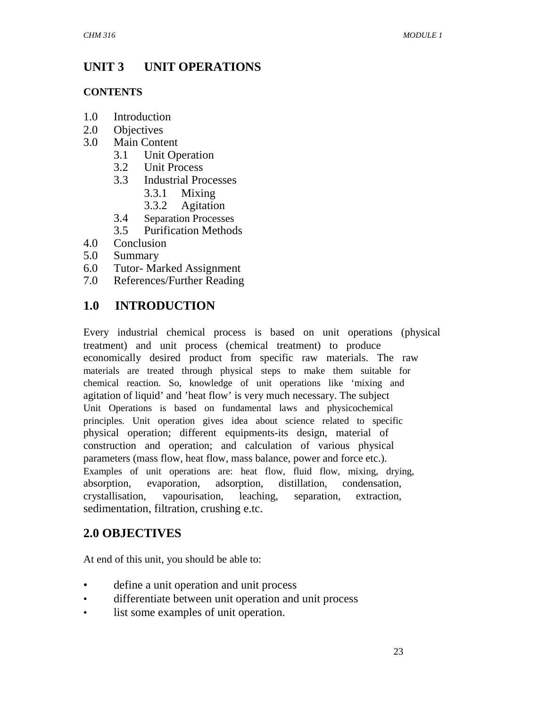### **UNIT 3 UNIT OPERATIONS**

#### **CONTENTS**

- 1.0 Introduction
- 2.0 Objectives
- 3.0 Main Content
	- 3.1 Unit Operation
	- 3.2 Unit Process
	- 3.3 Industrial Processes
		- 3.3.1 Mixing
		- 3.3.2 Agitation
	- 3.4 Separation Processes
	- 3.5 Purification Methods
- 4.0 Conclusion
- 5.0 Summary
- 6.0 Tutor- Marked Assignment<br>7.0 References/Further Reading
- References/Further Reading

## **1.0 INTRODUCTION**

Every industrial chemical process is based on unit operations (physical treatment) and unit process (chemical treatment) to produce economically desired product from specific raw materials. The raw materials are treated through physical steps to make them suitable for chemical reaction. So, knowledge of unit operations like 'mixing and agitation of liquid' and 'heat flow' is very much necessary. The subject Unit Operations is based on fundamental laws and physicochemical principles. Unit operation gives idea about science related to specific physical operation; different equipments-its design, material of construction and operation; and calculation of various physical parameters (mass flow, heat flow, mass balance, power and force etc.). Examples of unit operations are: heat flow, fluid flow, mixing, drying, absorption, evaporation, adsorption, distillation, condensation, crystallisation, vapourisation, leaching, separation, extraction, sedimentation, filtration, crushing e.tc.

### **2.0 OBJECTIVES**

At end of this unit, you should be able to:

- define a unit operation and unit process
- differentiate between unit operation and unit process
- list some examples of unit operation.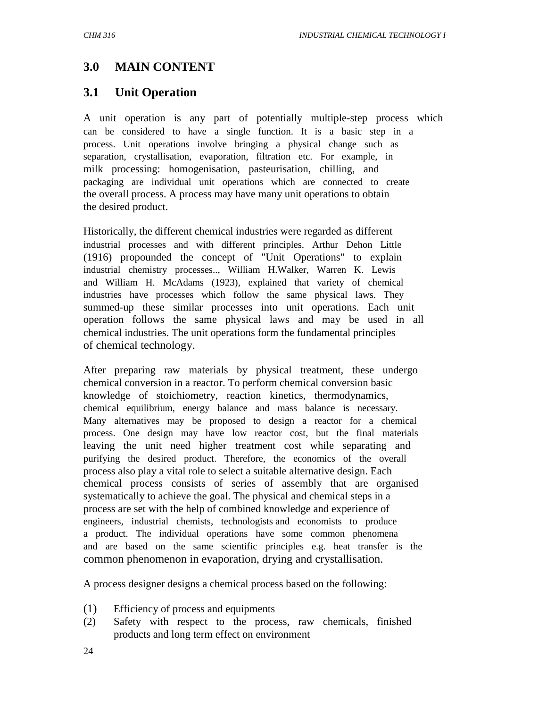### **3.0 MAIN CONTENT**

#### **3.1 Unit Operation**

A unit operation is any part of potentially multiple-step process which can be considered to have a single function. It is a basic step in a process. Unit operations involve bringing a physical change such as separation, crystallisation, evaporation, filtration etc. For example, in milk processing: homogenisation, pasteurisation, chilling, and packaging are individual unit operations which are connected to create the overall process. A process may have many unit operations to obtain the desired product.

Historically, the different chemical industries were regarded as different industrial processes and with different principles. Arthur Dehon Little (1916) propounded the concept of "Unit Operations" to explain industrial chemistry processes.., William H.Walker, Warren K. Lewis and William H. McAdams (1923), explained that variety of chemical industries have processes which follow the same physical laws. They summed-up these similar processes into unit operations. Each unit operation follows the same physical laws and may be used in all chemical industries. The unit operations form the fundamental principles of chemical technology.

After preparing raw materials by physical treatment, these undergo chemical conversion in a reactor. To perform chemical conversion basic knowledge of stoichiometry, reaction kinetics, thermodynamics, chemical equilibrium, energy balance and mass balance is necessary. Many alternatives may be proposed to design a reactor for a chemical process. One design may have low reactor cost, but the final materials leaving the unit need higher treatment cost while separating and purifying the desired product. Therefore, the economics of the overall process also play a vital role to select a suitable alternative design. Each chemical process consists of series of assembly that are organised systematically to achieve the goal. The physical and chemical steps in a process are set with the help of combined knowledge and experience of engineers, industrial chemists, technologists and economists to produce a product. The individual operations have some common phenomena and are based on the same scientific principles e.g. heat transfer is the common phenomenon in evaporation, drying and crystallisation.

A process designer designs a chemical process based on the following:

- (1) Efficiency of process and equipments
- (2) Safety with respect to the process, raw chemicals, finished products and long term effect on environment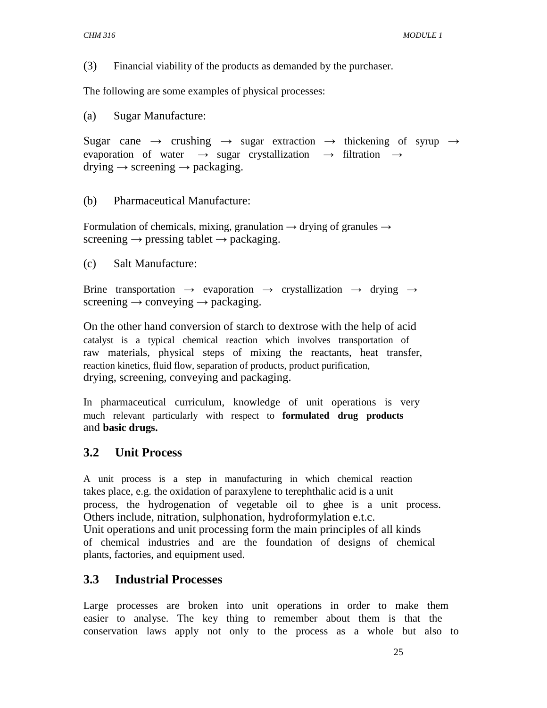(3) Financial viability of the products as demanded by the purchaser.

The following are some examples of physical processes:

(a) Sugar Manufacture:

Sugar cane  $\rightarrow$  crushing  $\rightarrow$  sugar extraction  $\rightarrow$  thickening of syrup  $\rightarrow$ evaporation of water  $\rightarrow$  sugar crystallization  $\rightarrow$  filtration  $\rightarrow$  $drying \rightarrow screening \rightarrow packaging.$ 

(b) Pharmaceutical Manufacture:

Formulation of chemicals, mixing, granulation  $\rightarrow$  drying of granules  $\rightarrow$ screening  $\rightarrow$  pressing tablet  $\rightarrow$  packaging.

(c) Salt Manufacture:

Brine transportation  $\rightarrow$  evaporation  $\rightarrow$  crystallization  $\rightarrow$  drying  $\rightarrow$ screening  $\rightarrow$  conveying  $\rightarrow$  packaging.

On the other hand conversion of starch to dextrose with the help of acid catalyst is a typical chemical reaction which involves transportation of raw materials, physical steps of mixing the reactants, heat transfer, reaction kinetics, fluid flow, separation of products, product purification, drying, screening, conveying and packaging.

In pharmaceutical curriculum, knowledge of unit operations is very much relevant particularly with respect to **formulated drug products**  and **basic drugs.** 

#### **3.2 Unit Process**

A unit process is a step in manufacturing in which chemical reaction takes place, e.g. the oxidation of paraxylene to terephthalic acid is a unit process, the hydrogenation of vegetable oil to ghee is a unit process. Others include, nitration, sulphonation, hydroformylation e.t.c. Unit operations and unit processing form the main principles of all kinds of chemical industries and are the foundation of designs of chemical plants, factories, and equipment used.

### **3.3 Industrial Processes**

Large processes are broken into unit operations in order to make them easier to analyse. The key thing to remember about them is that the conservation laws apply not only to the process as a whole but also to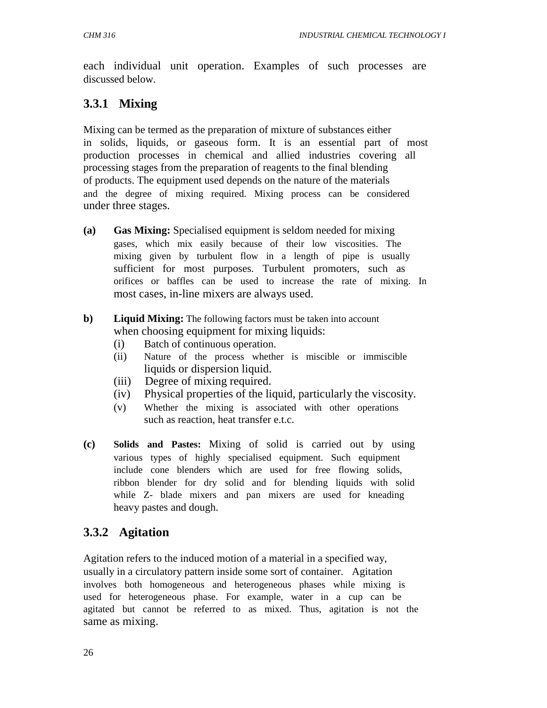each individual unit operation. Examples of such processes are discussed below.

# **3.3.1 Mixing**

Mixing can be termed as the preparation of mixture of substances either in solids, liquids, or gaseous form. It is an essential part of most production processes in chemical and allied industries covering all processing stages from the preparation of reagents to the final blending of products. The equipment used depends on the nature of the materials and the degree of mixing required. Mixing process can be considered under three stages.

- **(a) Gas Mixing:** Specialised equipment is seldom needed for mixing gases, which mix easily because of their low viscosities. The mixing given by turbulent flow in a length of pipe is usually sufficient for most purposes. Turbulent promoters, such as orifices or baffles can be used to increase the rate of mixing. In most cases, in-line mixers are always used.
- **b)** Liquid Mixing: The following factors must be taken into account when choosing equipment for mixing liquids:
	- (i) Batch of continuous operation.
	- (ii) Nature of the process whether is miscible or immiscible liquids or dispersion liquid.
	- (iii) Degree of mixing required.
	- (iv) Physical properties of the liquid, particularly the viscosity.
	- (v) Whether the mixing is associated with other operations such as reaction, heat transfer e.t.c.
- **(c) Solids and Pastes:** Mixing of solid is carried out by using various types of highly specialised equipment. Such equipment include cone blenders which are used for free flowing solids, ribbon blender for dry solid and for blending liquids with solid while Z- blade mixers and pan mixers are used for kneading heavy pastes and dough.

# **3.3.2 Agitation**

Agitation refers to the induced motion of a material in a specified way, usually in a circulatory pattern inside some sort of container. Agitation involves both homogeneous and heterogeneous phases while mixing is used for heterogeneous phase. For example, water in a cup can be agitated but cannot be referred to as mixed. Thus, agitation is not the same as mixing.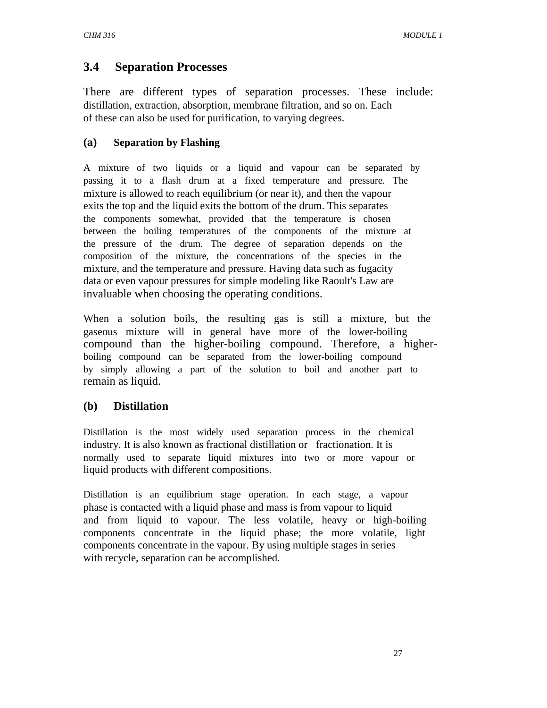#### **3.4 Separation Processes**

There are different types of separation processes. These include: distillation, extraction, absorption, membrane filtration, and so on. Each of these can also be used for purification, to varying degrees.

#### **(a) Separation by Flashing**

A mixture of two liquids or a liquid and vapour can be separated by passing it to a flash drum at a fixed temperature and pressure. The mixture is allowed to reach equilibrium (or near it), and then the vapour exits the top and the liquid exits the bottom of the drum. This separates the components somewhat, provided that the temperature is chosen between the boiling temperatures of the components of the mixture at the pressure of the drum. The degree of separation depends on the composition of the mixture, the concentrations of the species in the mixture, and the temperature and pressure. Having data such as fugacity data or even vapour pressures for simple modeling like Raoult's Law are invaluable when choosing the operating conditions.

When a solution boils, the resulting gas is still a mixture, but the gaseous mixture will in general have more of the lower-boiling compound than the higher-boiling compound. Therefore, a higherboiling compound can be separated from the lower-boiling compound by simply allowing a part of the solution to boil and another part to remain as liquid.

#### **(b) Distillation**

Distillation is the most widely used separation process in the chemical industry. It is also known as fractional distillation or fractionation. It is normally used to separate liquid mixtures into two or more vapour or liquid products with different compositions.

Distillation is an equilibrium stage operation. In each stage, a vapour phase is contacted with a liquid phase and mass is from vapour to liquid and from liquid to vapour. The less volatile, heavy or high-boiling components concentrate in the liquid phase; the more volatile, light components concentrate in the vapour. By using multiple stages in series with recycle, separation can be accomplished.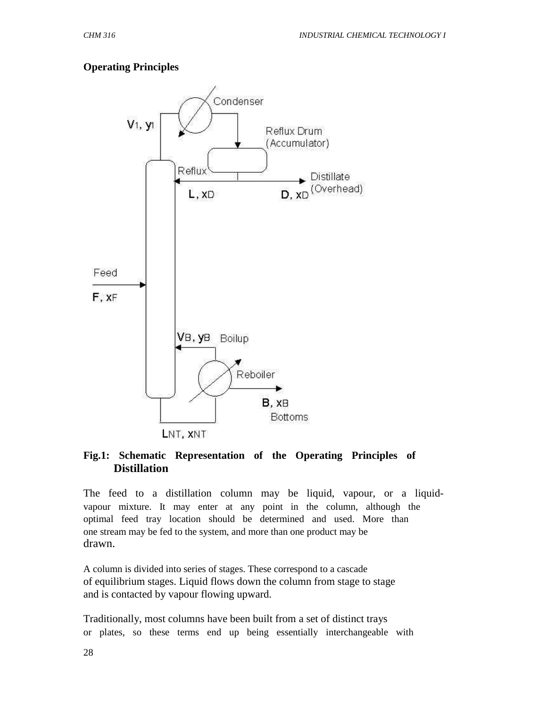#### **Operating Principles**



#### **Fig.1: Schematic Representation of the Operating Principles of Distillation**

The feed to a distillation column may be liquid, vapour, or a liquidvapour mixture. It may enter at any point in the column, although the optimal feed tray location should be determined and used. More than one stream may be fed to the system, and more than one product may be drawn.

A column is divided into series of stages. These correspond to a cascade of equilibrium stages. Liquid flows down the column from stage to stage and is contacted by vapour flowing upward.

Traditionally, most columns have been built from a set of distinct trays or plates, so these terms end up being essentially interchangeable with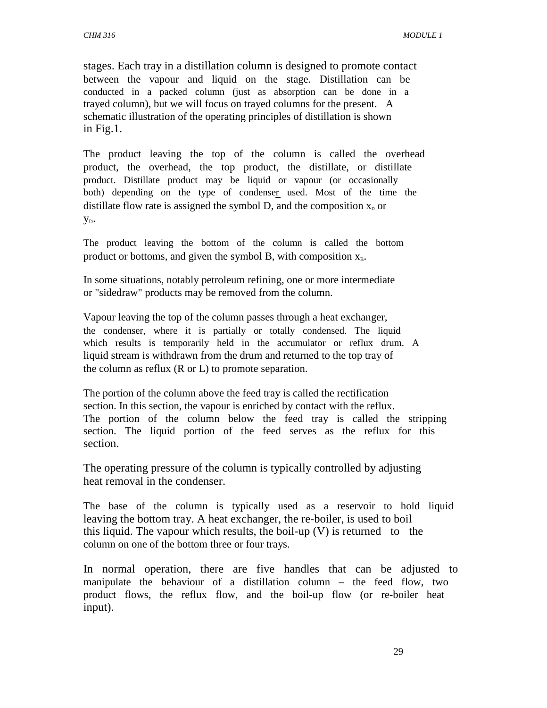stages. Each tray in a distillation column is designed to promote contact between the vapour and liquid on the stage. Distillation can be conducted in a packed column (just as absorption can be done in a trayed column), but we will focus on trayed columns for the present. A schematic illustration of the operating principles of distillation is shown in Fig.1.

The product leaving the top of the column is called the overhead product, the overhead, the top product, the distillate, or distillate product. Distillate product may be liquid or vapour (or occasionally both) depending on the type of condenser used. Most of the time the distillate flow rate is assigned the symbol D, and the composition  $x<sub>p</sub>$  or  $V_D$ .

The product leaving the bottom of the column is called the bottom product or bottoms, and given the symbol B, with composition  $x_B$ .

In some situations, notably petroleum refining, one or more intermediate or "sidedraw" products may be removed from the column.

Vapour leaving the top of the column passes through a heat exchanger, the condenser, where it is partially or totally condensed. The liquid which results is temporarily held in the accumulator or reflux drum. A liquid stream is withdrawn from the drum and returned to the top tray of the column as reflux (R or L) to promote separation.

The portion of the column above the feed tray is called the rectification section. In this section, the vapour is enriched by contact with the reflux. The portion of the column below the feed tray is called the stripping section. The liquid portion of the feed serves as the reflux for this section.

The operating pressure of the column is typically controlled by adjusting heat removal in the condenser.

The base of the column is typically used as a reservoir to hold liquid leaving the bottom tray. A heat exchanger, the re-boiler, is used to boil this liquid. The vapour which results, the boil-up  $(V)$  is returned to the column on one of the bottom three or four trays.

In normal operation, there are five handles that can be adjusted to manipulate the behaviour of a distillation column – the feed flow, two product flows, the reflux flow, and the boil-up flow (or re-boiler heat input).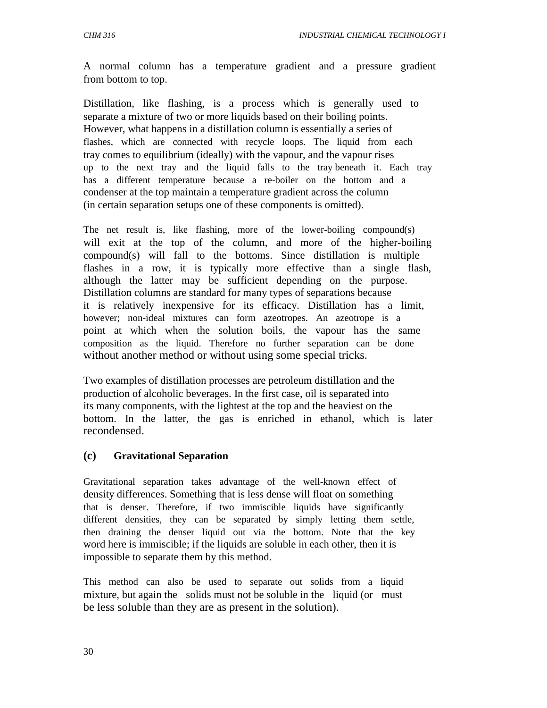A normal column has a temperature gradient and a pressure gradient from bottom to top.

Distillation, like flashing, is a process which is generally used to separate a mixture of two or more liquids based on their boiling points. However, what happens in a distillation column is essentially a series of flashes, which are connected with recycle loops. The liquid from each tray comes to equilibrium (ideally) with the vapour, and the vapour rises up to the next tray and the liquid falls to the tray beneath it. Each tray has a different temperature because a re-boiler on the bottom and a condenser at the top maintain a temperature gradient across the column (in certain separation setups one of these components is omitted).

The net result is, like flashing, more of the lower-boiling compound(s) will exit at the top of the column, and more of the higher-boiling compound(s) will fall to the bottoms. Since distillation is multiple flashes in a row, it is typically more effective than a single flash, although the latter may be sufficient depending on the purpose. Distillation columns are standard for many types of separations because it is relatively inexpensive for its efficacy. Distillation has a limit, however; non-ideal mixtures can form azeotropes. An azeotrope is a point at which when the solution boils, the vapour has the same composition as the liquid. Therefore no further separation can be done without another method or without using some special tricks.

Two examples of distillation processes are petroleum distillation and the production of alcoholic beverages. In the first case, oil is separated into its many components, with the lightest at the top and the heaviest on the bottom. In the latter, the gas is enriched in ethanol, which is later recondensed.

#### **(c) Gravitational Separation**

Gravitational separation takes advantage of the well-known effect of density differences. Something that is less dense will float on something that is denser. Therefore, if two immiscible liquids have significantly different densities, they can be separated by simply letting them settle, then draining the denser liquid out via the bottom. Note that the key word here is immiscible; if the liquids are soluble in each other, then it is impossible to separate them by this method.

This method can also be used to separate out solids from a liquid mixture, but again the solids must not be soluble in the liquid (or must be less soluble than they are as present in the solution).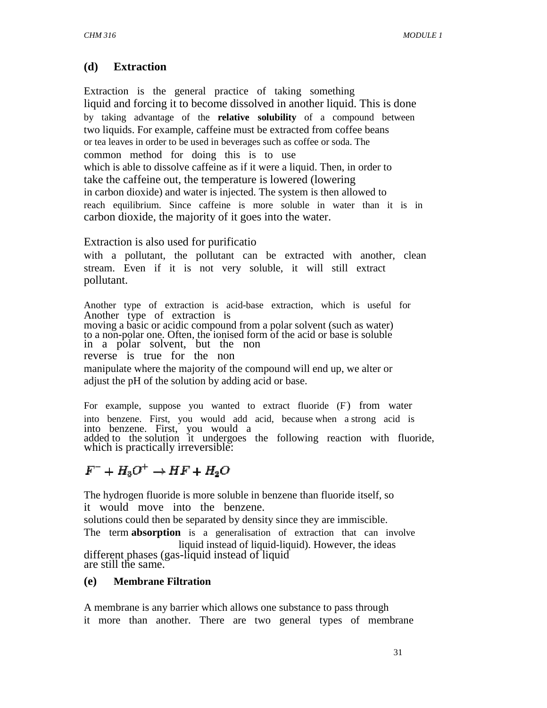#### **(d) Extraction**

Extraction is the general practice of taking something liquid and forcing it to become dissolved in another liquid. This is done by taking advantage of the **relative solubility** of a compound between two liquids. For example, caffeine must be extracted from coffee beans or tea leaves in order to be used in beverages such as coffee or soda. The common method for doing this is to use which is able to dissolve caffeine as if it were a liquid. Then, in order to take the caffeine out, the temperature is lowered (lowering in carbon dioxide) and water is injected. The system is then allowed to reach equilibrium. Since caffeine is more soluble in water than it is in carbon dioxide, the majority of it goes into the water.

Extraction is also used for purificatio

with a pollutant, the pollutant can be extracted with another, clean stream. Even if it is not very soluble, it will still extract pollutant.

Another type of extraction is acid-base extraction, which is useful for Another type of extraction is moving a basic or acidic compound from a polar solvent (such as water) to a non-polar one. Often, the ionised form of the acid or base is soluble in a polar solvent, but the non reverse is true for the non manipulate where the majority of the compound will end up, we alter or adjust the pH of the solution by adding acid or base.

For example, suppose you wanted to extract fluoride (F) from water into benzene. First, you would add acid, because when a strong acid is into benzene. First, you would a added to the solution it undergoes the following reaction with fluoride, which is practically irreversible:

# $F^- + H_3O^+ \rightarrow HF + H_2O$

The hydrogen fluoride is more soluble in benzene than fluoride itself, so it would move into the benzene. solutions could then be separated by density since they are immiscible. The term **absorption** is a generalisation of extraction that can involve liquid instead of liquid-liquid). However, the ideas different phases (gas-liquid instead of liquid are still the same.

#### **(e) Membrane Filtration**

A membrane is any barrier which allows one substance to pass through it more than another. There are two general types of membrane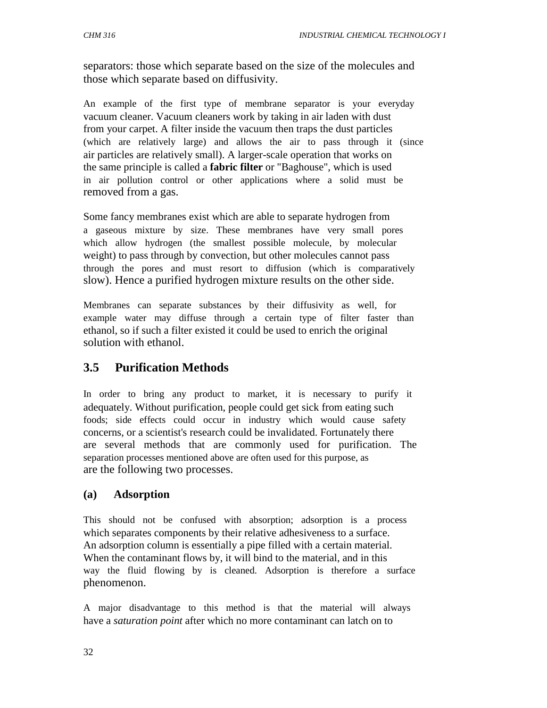separators: those which separate based on the size of the molecules and those which separate based on diffusivity.

An example of the first type of membrane separator is your everyday vacuum cleaner. Vacuum cleaners work by taking in air laden with dust from your carpet. A filter inside the vacuum then traps the dust particles (which are relatively large) and allows the air to pass through it (since air particles are relatively small). A larger-scale operation that works on the same principle is called a **fabric filter** or "Baghouse", which is used in air pollution control or other applications where a solid must be removed from a gas.

Some fancy membranes exist which are able to separate hydrogen from a gaseous mixture by size. These membranes have very small pores which allow hydrogen (the smallest possible molecule, by molecular weight) to pass through by convection, but other molecules cannot pass through the pores and must resort to diffusion (which is comparatively slow). Hence a purified hydrogen mixture results on the other side.

Membranes can separate substances by their diffusivity as well, for example water may diffuse through a certain type of filter faster than ethanol, so if such a filter existed it could be used to enrich the original solution with ethanol.

### **3.5 Purification Methods**

In order to bring any product to market, it is necessary to purify it adequately. Without purification, people could get sick from eating such foods; side effects could occur in industry which would cause safety concerns, or a scientist's research could be invalidated. Fortunately there are several methods that are commonly used for purification. The separation processes mentioned above are often used for this purpose, as are the following two processes.

#### **(a) Adsorption**

This should not be confused with absorption; adsorption is a process which separates components by their relative adhesiveness to a surface. An adsorption column is essentially a pipe filled with a certain material. When the contaminant flows by, it will bind to the material, and in this way the fluid flowing by is cleaned. Adsorption is therefore a surface phenomenon.

A major disadvantage to this method is that the material will always have a *saturation point* after which no more contaminant can latch on to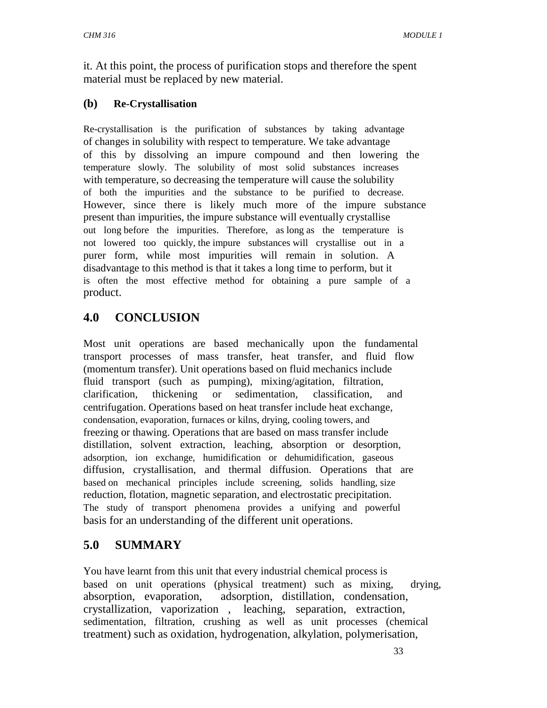it. At this point, the process of purification stops and therefore the spent material must be replaced by new material.

#### **(b) Re-Crystallisation**

Re-crystallisation is the purification of substances by taking advantage of changes in solubility with respect to temperature. We take advantage of this by dissolving an impure compound and then lowering the temperature slowly. The solubility of most solid substances increases with temperature, so decreasing the temperature will cause the solubility of both the impurities and the substance to be purified to decrease. However, since there is likely much more of the impure substance present than impurities, the impure substance will eventually crystallise out long before the impurities. Therefore, as long as the temperature is not lowered too quickly, the impure substances will crystallise out in a purer form, while most impurities will remain in solution. A disadvantage to this method is that it takes a long time to perform, but it is often the most effective method for obtaining a pure sample of a product.

# **4.0 CONCLUSION**

Most unit operations are based mechanically upon the fundamental transport processes of mass transfer, heat transfer, and fluid flow (momentum transfer). Unit operations based on fluid mechanics include fluid transport (such as pumping), mixing/agitation, filtration, clarification, thickening or sedimentation, classification, and centrifugation. Operations based on heat transfer include heat exchange, condensation, evaporation, furnaces or kilns, drying, cooling towers, and freezing or thawing. Operations that are based on mass transfer include distillation, solvent extraction, leaching, absorption or desorption, adsorption, ion exchange, humidification or dehumidification, gaseous diffusion, crystallisation, and thermal diffusion. Operations that are based on mechanical principles include screening, solids handling, size reduction, flotation, magnetic separation, and electrostatic precipitation. The study of transport phenomena provides a unifying and powerful basis for an understanding of the different unit operations.

### **5.0 SUMMARY**

You have learnt from this unit that every industrial chemical process is based on unit operations (physical treatment) such as mixing, drying, absorption, evaporation, adsorption, distillation, condensation, crystallization, vaporization , leaching, separation, extraction, sedimentation, filtration, crushing as well as unit processes (chemical treatment) such as oxidation, hydrogenation, alkylation, polymerisation,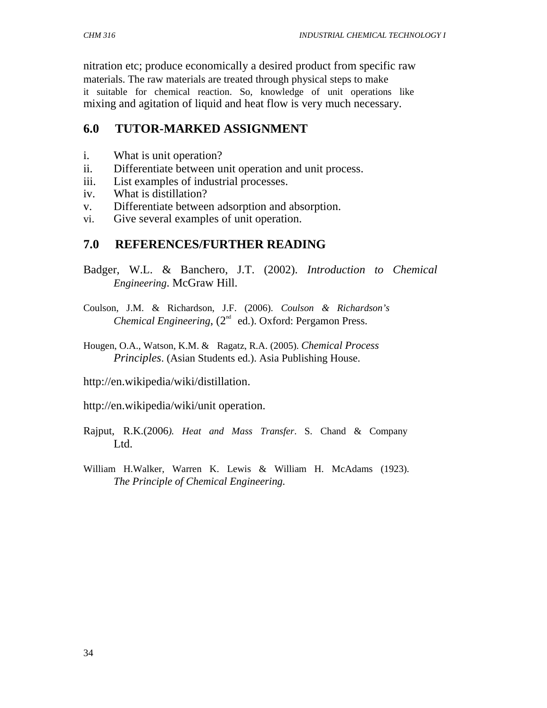nitration etc; produce economically a desired product from specific raw materials. The raw materials are treated through physical steps to make it suitable for chemical reaction. So, knowledge of unit operations like mixing and agitation of liquid and heat flow is very much necessary.

#### **6.0 TUTOR-MARKED ASSIGNMENT**

- i. What is unit operation?
- ii. Differentiate between unit operation and unit process.
- iii. List examples of industrial processes.
- iv. What is distillation?
- v. Differentiate between adsorption and absorption.
- vi. Give several examples of unit operation.

#### **7.0 REFERENCES/FURTHER READING**

- Badger, W.L. & Banchero, J.T. (2002). *Introduction to Chemical Engineering*. McGraw Hill.
- Coulson, J.M. & Richardson, J.F. (2006). *Coulson & Richardson's Chemical Engineering*, (2<sup>nd</sup> ed.). Oxford: Pergamon Press.
- Hougen, O.A., Watson, K.M. & Ragatz, R.A. (2005). *Chemical Process Principles*. (Asian Students ed.). Asia Publishing House.

http://en.wikipedia/wiki/distillation.

http://en.wikipedia/wiki/unit operation.

- Rajput, R.K.(2006*). Heat and Mass Transfer*. S. Chand & Company Ltd.
- William H.Walker, Warren K. Lewis & William H. McAdams (1923). *The Principle of Chemical Engineering.*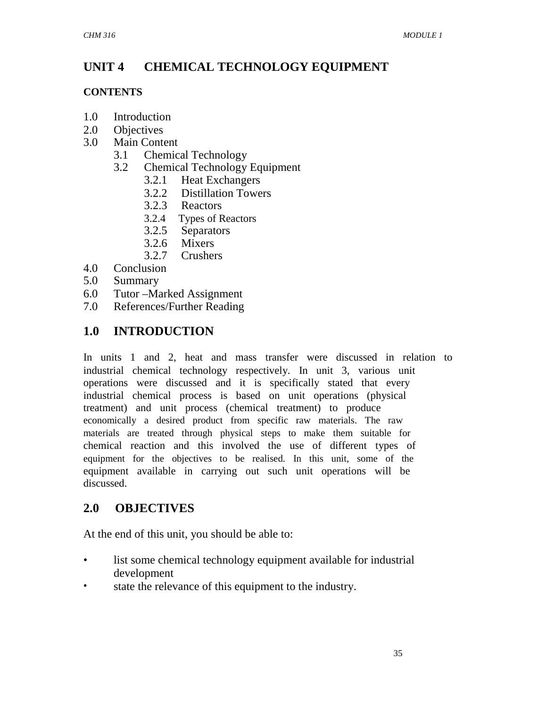# **UNIT 4 CHEMICAL TECHNOLOGY EQUIPMENT**

#### **CONTENTS**

- 1.0 Introduction
- 2.0 Objectives
- 3.0 Main Content
	- 3.1 Chemical Technology
	- 3.2 Chemical Technology Equipment
		- 3.2.1 Heat Exchangers
		- 3.2.2 Distillation Towers
		- 3.2.3 Reactors
		- 3.2.4 Types of Reactors
		- 3.2.5 Separators
		- 3.2.6 Mixers
		- 3.2.7 Crushers
- 4.0 Conclusion
- 5.0 Summary
- 6.0 Tutor –Marked Assignment
- 7.0 References/Further Reading

## **1.0 INTRODUCTION**

In units 1 and 2, heat and mass transfer were discussed in relation to industrial chemical technology respectively. In unit 3, various unit operations were discussed and it is specifically stated that every industrial chemical process is based on unit operations (physical treatment) and unit process (chemical treatment) to produce economically a desired product from specific raw materials. The raw materials are treated through physical steps to make them suitable for chemical reaction and this involved the use of different types of equipment for the objectives to be realised. In this unit, some of the equipment available in carrying out such unit operations will be discussed.

### **2.0 OBJECTIVES**

At the end of this unit, you should be able to:

- list some chemical technology equipment available for industrial development
- state the relevance of this equipment to the industry.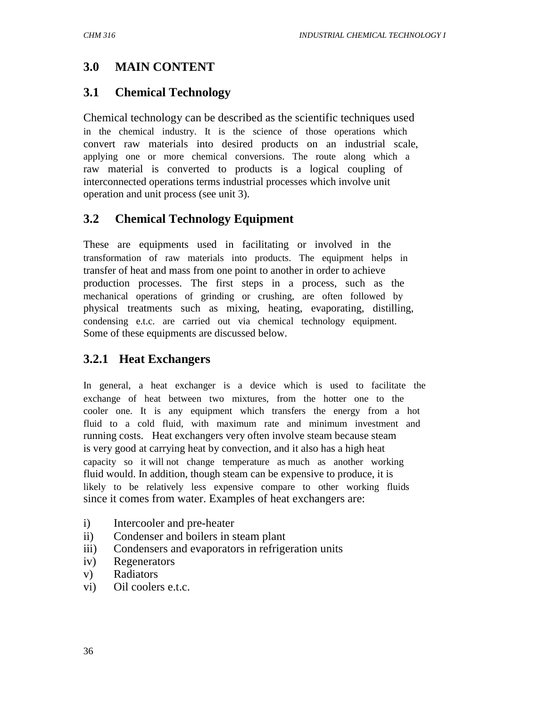#### **3.0 MAIN CONTENT**

#### **3.1 Chemical Technology**

Chemical technology can be described as the scientific techniques used in the chemical industry. It is the science of those operations which convert raw materials into desired products on an industrial scale, applying one or more chemical conversions. The route along which a raw material is converted to products is a logical coupling of interconnected operations terms industrial processes which involve unit operation and unit process (see unit 3).

### **3.2 Chemical Technology Equipment**

These are equipments used in facilitating or involved in the transformation of raw materials into products. The equipment helps in transfer of heat and mass from one point to another in order to achieve production processes. The first steps in a process, such as the mechanical operations of grinding or crushing, are often followed by physical treatments such as mixing, heating, evaporating, distilling, condensing e.t.c. are carried out via chemical technology equipment. Some of these equipments are discussed below.

#### **3.2.1 Heat Exchangers**

In general, a heat exchanger is a device which is used to facilitate the exchange of heat between two mixtures, from the hotter one to the cooler one. It is any equipment which transfers the energy from a hot fluid to a cold fluid, with maximum rate and minimum investment and running costs. Heat exchangers very often involve steam because steam is very good at carrying heat by convection, and it also has a high heat capacity so it will not change temperature as much as another working fluid would. In addition, though steam can be expensive to produce, it is likely to be relatively less expensive compare to other working fluids since it comes from water. Examples of heat exchangers are:

- i) Intercooler and pre-heater
- ii) Condenser and boilers in steam plant
- iii) Condensers and evaporators in refrigeration units
- iv) Regenerators
- v) Radiators
- vi) Oil coolers e.t.c.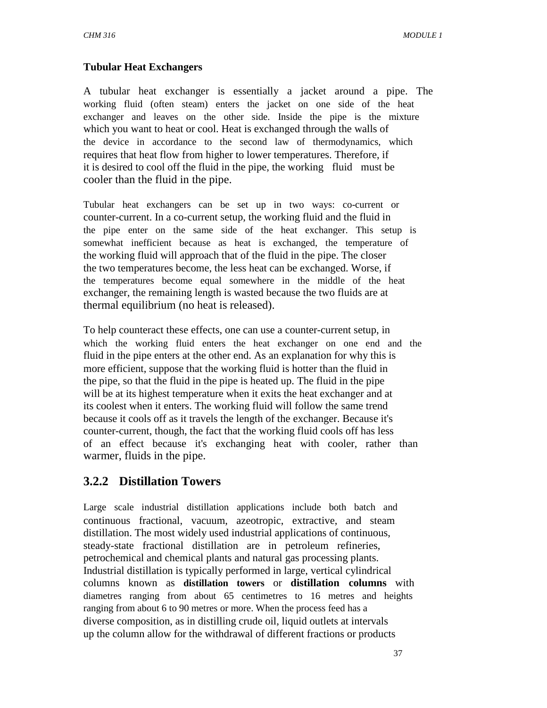#### **Tubular Heat Exchangers**

A tubular heat exchanger is essentially a jacket around a pipe. The working fluid (often steam) enters the jacket on one side of the heat exchanger and leaves on the other side. Inside the pipe is the mixture which you want to heat or cool. Heat is exchanged through the walls of the device in accordance to the second law of thermodynamics, which requires that heat flow from higher to lower temperatures. Therefore, if it is desired to cool off the fluid in the pipe, the working fluid must be cooler than the fluid in the pipe.

Tubular heat exchangers can be set up in two ways: co-current or counter-current. In a co-current setup, the working fluid and the fluid in the pipe enter on the same side of the heat exchanger. This setup is somewhat inefficient because as heat is exchanged, the temperature of the working fluid will approach that of the fluid in the pipe. The closer the two temperatures become, the less heat can be exchanged. Worse, if the temperatures become equal somewhere in the middle of the heat exchanger, the remaining length is wasted because the two fluids are at thermal equilibrium (no heat is released).

To help counteract these effects, one can use a counter-current setup, in which the working fluid enters the heat exchanger on one end and the fluid in the pipe enters at the other end. As an explanation for why this is more efficient, suppose that the working fluid is hotter than the fluid in the pipe, so that the fluid in the pipe is heated up. The fluid in the pipe will be at its highest temperature when it exits the heat exchanger and at its coolest when it enters. The working fluid will follow the same trend because it cools off as it travels the length of the exchanger. Because it's counter-current, though, the fact that the working fluid cools off has less of an effect because it's exchanging heat with cooler, rather than warmer, fluids in the pipe.

#### **3.2.2 Distillation Towers**

Large scale industrial distillation applications include both batch and continuous fractional, vacuum, azeotropic, extractive, and steam distillation. The most widely used industrial applications of continuous, steady-state fractional distillation are in petroleum refineries, petrochemical and chemical plants and natural gas processing plants. Industrial distillation is typically performed in large, vertical cylindrical columns known as **distillation towers** or **distillation columns** with diametres ranging from about 65 centimetres to 16 metres and heights ranging from about 6 to 90 metres or more. When the process feed has a diverse composition, as in distilling crude oil, liquid outlets at intervals up the column allow for the withdrawal of different fractions or products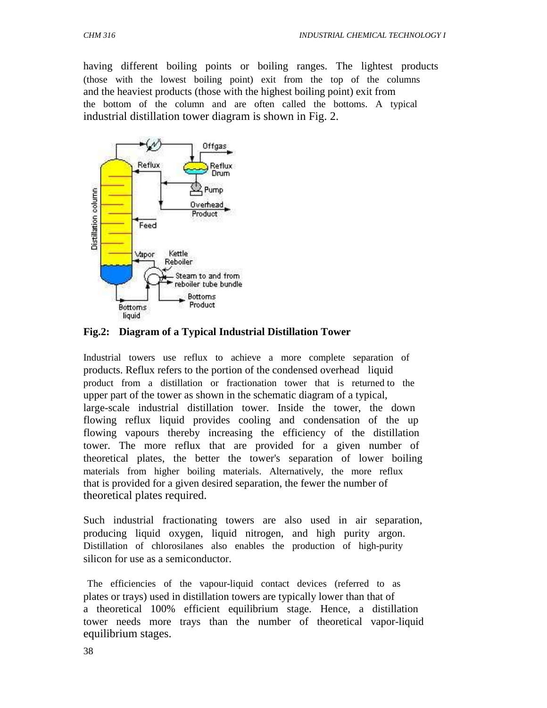having different boiling points or boiling ranges. The lightest products (those with the lowest boiling point) exit from the top of the columns and the heaviest products (those with the highest boiling point) exit from the bottom of the column and are often called the bottoms. A typical industrial distillation tower diagram is shown in Fig. 2.



#### **Fig.2: Diagram of a Typical Industrial Distillation Tower**

Industrial towers use reflux to achieve a more complete separation of products. Reflux refers to the portion of the condensed overhead liquid product from a distillation or fractionation tower that is returned to the upper part of the tower as shown in the schematic diagram of a typical, large-scale industrial distillation tower. Inside the tower, the down flowing reflux liquid provides cooling and condensation of the up flowing vapours thereby increasing the efficiency of the distillation tower. The more reflux that are provided for a given number of theoretical plates, the better the tower's separation of lower boiling materials from higher boiling materials. Alternatively, the more reflux that is provided for a given desired separation, the fewer the number of theoretical plates required.

Such industrial fractionating towers are also used in air separation, producing liquid oxygen, liquid nitrogen, and high purity argon. Distillation of chlorosilanes also enables the production of high-purity silicon for use as a semiconductor.

 The efficiencies of the vapour-liquid contact devices (referred to as plates or trays) used in distillation towers are typically lower than that of a theoretical 100% efficient equilibrium stage. Hence, a distillation tower needs more trays than the number of theoretical vapor-liquid equilibrium stages.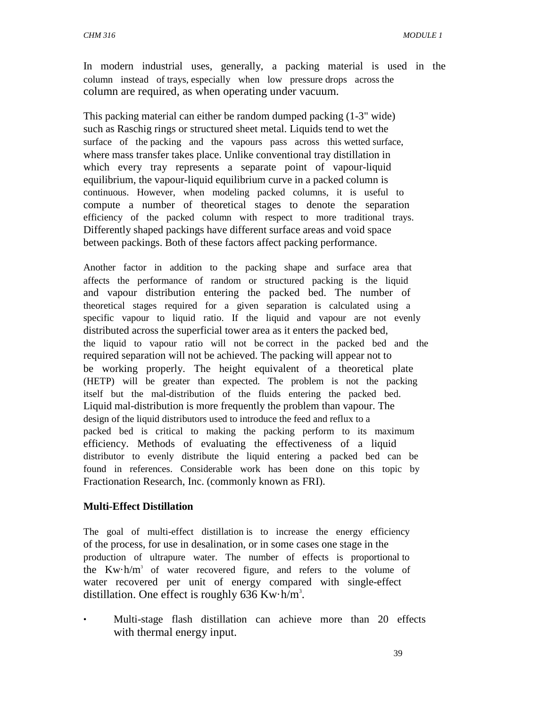In modern industrial uses, generally, a packing material is used in the column instead of trays, especially when low pressure drops across the column are required, as when operating under vacuum.

This packing material can either be random dumped packing (1-3" wide) such as Raschig rings or structured sheet metal. Liquids tend to wet the surface of the packing and the vapours pass across this wetted surface, where mass transfer takes place. Unlike conventional tray distillation in which every tray represents a separate point of vapour-liquid equilibrium, the vapour-liquid equilibrium curve in a packed column is continuous. However, when modeling packed columns, it is useful to compute a number of theoretical stages to denote the separation efficiency of the packed column with respect to more traditional trays. Differently shaped packings have different surface areas and void space between packings. Both of these factors affect packing performance.

Another factor in addition to the packing shape and surface area that affects the performance of random or structured packing is the liquid and vapour distribution entering the packed bed. The number of theoretical stages required for a given separation is calculated using a specific vapour to liquid ratio. If the liquid and vapour are not evenly distributed across the superficial tower area as it enters the packed bed, the liquid to vapour ratio will not be correct in the packed bed and the required separation will not be achieved. The packing will appear not to be working properly. The height equivalent of a theoretical plate (HETP) will be greater than expected. The problem is not the packing itself but the mal-distribution of the fluids entering the packed bed. Liquid mal-distribution is more frequently the problem than vapour. The design of the liquid distributors used to introduce the feed and reflux to a packed bed is critical to making the packing perform to its maximum efficiency. Methods of evaluating the effectiveness of a liquid distributor to evenly distribute the liquid entering a packed bed can be found in references. Considerable work has been done on this topic by Fractionation Research, Inc. (commonly known as FRI).

#### **Multi-Effect Distillation**

The goal of multi-effect distillation is to increase the energy efficiency of the process, for use in desalination, or in some cases one stage in the production of ultrapure water. The number of effects is proportional to the  $Kw \cdot h/m^3$  of water recovered figure, and refers to the volume of water recovered per unit of energy compared with single-effect distillation. One effect is roughly 636 Kw $\cdot$ h/m<sup>3</sup>.

• Multi-stage flash distillation can achieve more than 20 effects with thermal energy input.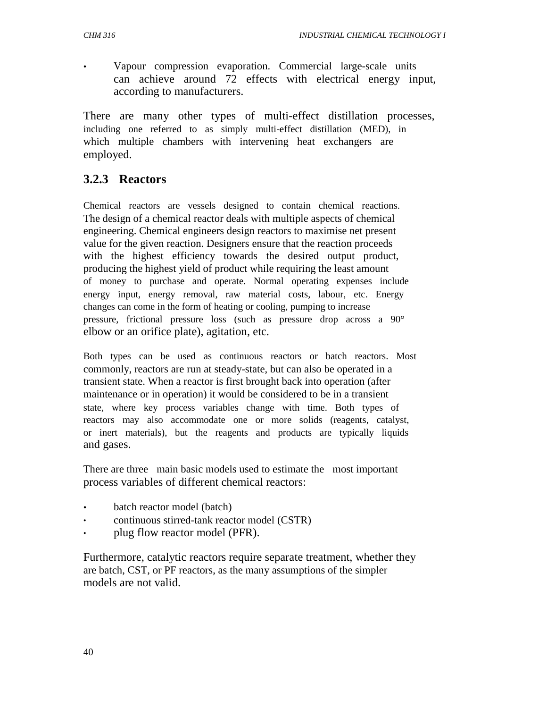• Vapour compression evaporation. Commercial large-scale units can achieve around 72 effects with electrical energy input, according to manufacturers.

There are many other types of multi-effect distillation processes, including one referred to as simply multi-effect distillation (MED), in which multiple chambers with intervening heat exchangers are employed.

#### **3.2.3 Reactors**

Chemical reactors are vessels designed to contain chemical reactions. The design of a chemical reactor deals with multiple aspects of chemical engineering. Chemical engineers design reactors to maximise net present value for the given reaction. Designers ensure that the reaction proceeds with the highest efficiency towards the desired output product, producing the highest yield of product while requiring the least amount of money to purchase and operate. Normal operating expenses include energy input, energy removal, raw material costs, labour, etc. Energy changes can come in the form of heating or cooling, pumping to increase pressure, frictional pressure loss (such as pressure drop across a 90° elbow or an orifice plate), agitation, etc.

Both types can be used as continuous reactors or batch reactors. Most commonly, reactors are run at steady-state, but can also be operated in a transient state. When a reactor is first brought back into operation (after maintenance or in operation) it would be considered to be in a transient state, where key process variables change with time. Both types of reactors may also accommodate one or more solids (reagents, catalyst, or inert materials), but the reagents and products are typically liquids and gases.

There are three main basic models used to estimate the most important process variables of different chemical reactors:

- batch reactor model (batch)
- continuous stirred-tank reactor model (CSTR)
- plug flow reactor model (PFR).

Furthermore, catalytic reactors require separate treatment, whether they are batch, CST, or PF reactors, as the many assumptions of the simpler models are not valid.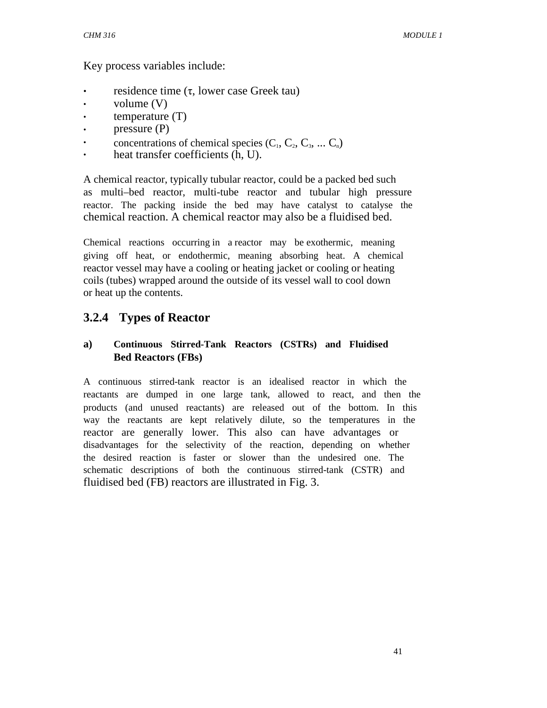Key process variables include:

- residence time (τ, lower case Greek tau)
- volume (V)
- temperature (T)
- pressure (P)
- concentrations of chemical species  $(C_1, C_2, C_3, \dots C_n)$
- heat transfer coefficients (h, U).

A chemical reactor, typically tubular reactor, could be a packed bed such as multi–bed reactor, multi-tube reactor and tubular high pressure reactor. The packing inside the bed may have catalyst to catalyse the chemical reaction. A chemical reactor may also be a fluidised bed.

Chemical reactions occurring in a reactor may be exothermic, meaning giving off heat, or endothermic, meaning absorbing heat. A chemical reactor vessel may have a cooling or heating jacket or cooling or heating coils (tubes) wrapped around the outside of its vessel wall to cool down or heat up the contents.

## **3.2.4 Types of Reactor**

#### **a) Continuous Stirred-Tank Reactors (CSTRs) and Fluidised Bed Reactors (FBs)**

A continuous stirred-tank reactor is an idealised reactor in which the reactants are dumped in one large tank, allowed to react, and then the products (and unused reactants) are released out of the bottom. In this way the reactants are kept relatively dilute, so the temperatures in the reactor are generally lower. This also can have advantages or disadvantages for the selectivity of the reaction, depending on whether the desired reaction is faster or slower than the undesired one. The schematic descriptions of both the continuous stirred-tank (CSTR) and fluidised bed (FB) reactors are illustrated in Fig. 3.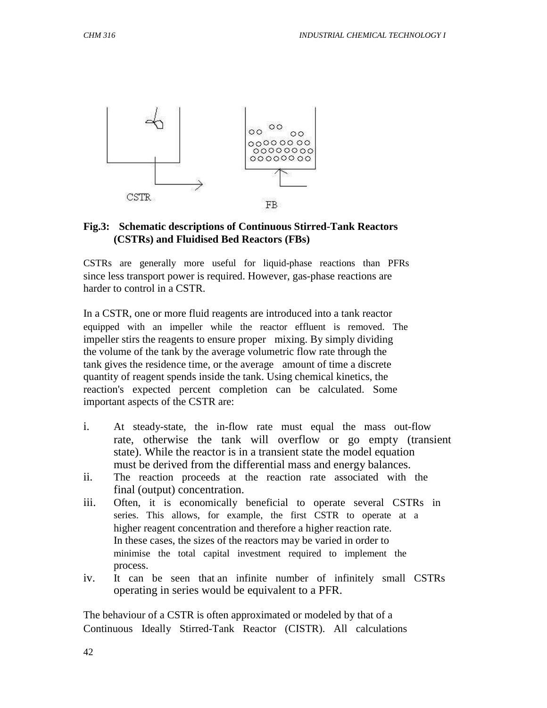

#### **Fig.3: Schematic descriptions of Continuous Stirred-Tank Reactors (CSTRs) and Fluidised Bed Reactors (FBs)**

CSTRs are generally more useful for liquid-phase reactions than PFRs since less transport power is required. However, gas-phase reactions are harder to control in a CSTR.

In a CSTR, one or more fluid reagents are introduced into a tank reactor equipped with an impeller while the reactor effluent is removed. The impeller stirs the reagents to ensure proper mixing. By simply dividing the volume of the tank by the average volumetric flow rate through the tank gives the residence time, or the average amount of time a discrete quantity of reagent spends inside the tank. Using chemical kinetics, the reaction's expected percent completion can be calculated. Some important aspects of the CSTR are:

- i. At steady-state, the in-flow rate must equal the mass out-flow rate, otherwise the tank will overflow or go empty (transient state). While the reactor is in a transient state the model equation must be derived from the differential mass and energy balances.
- ii. The reaction proceeds at the reaction rate associated with the final (output) concentration.
- iii. Often, it is economically beneficial to operate several CSTRs in series. This allows, for example, the first CSTR to operate at a higher reagent concentration and therefore a higher reaction rate. In these cases, the sizes of the reactors may be varied in order to minimise the total capital investment required to implement the process.
- iv. It can be seen that an infinite number of infinitely small CSTRs operating in series would be equivalent to a PFR.

The behaviour of a CSTR is often approximated or modeled by that of a Continuous Ideally Stirred-Tank Reactor (CISTR). All calculations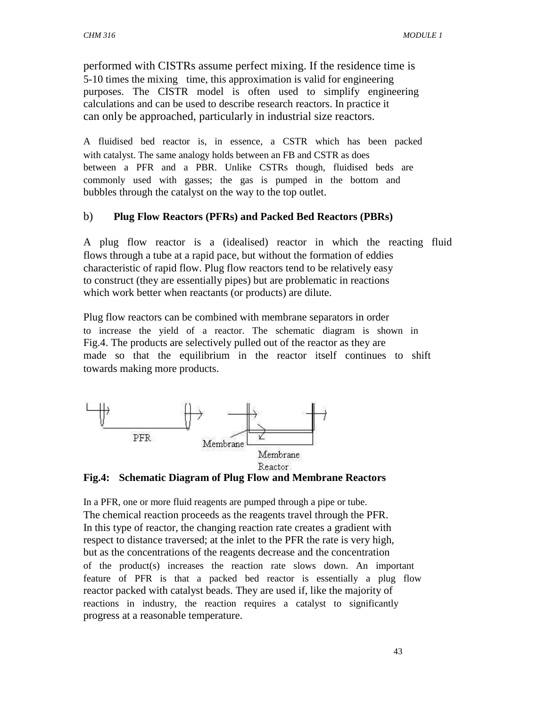performed with CISTRs assume perfect mixing. If the residence time is 5-10 times the mixing time, this approximation is valid for engineering purposes. The CISTR model is often used to simplify engineering calculations and can be used to describe research reactors. In practice it can only be approached, particularly in industrial size reactors.

A fluidised bed reactor is, in essence, a CSTR which has been packed with catalyst. The same analogy holds between an FB and CSTR as does between a PFR and a PBR. Unlike CSTRs though, fluidised beds are commonly used with gasses; the gas is pumped in the bottom and bubbles through the catalyst on the way to the top outlet.

#### b) **Plug Flow Reactors (PFRs) and Packed Bed Reactors (PBRs)**

A plug flow reactor is a (idealised) reactor in which the reacting fluid flows through a tube at a rapid pace, but without the formation of eddies characteristic of rapid flow. Plug flow reactors tend to be relatively easy to construct (they are essentially pipes) but are problematic in reactions which work better when reactants (or products) are dilute.

Plug flow reactors can be combined with membrane separators in order to increase the yield of a reactor. The schematic diagram is shown in Fig.4. The products are selectively pulled out of the reactor as they are made so that the equilibrium in the reactor itself continues to shift towards making more products.



#### **Fig.4: Schematic Diagram of Plug Flow and Membrane Reactors**

In a PFR, one or more fluid reagents are pumped through a pipe or tube. The chemical reaction proceeds as the reagents travel through the PFR. In this type of reactor, the changing reaction rate creates a gradient with respect to distance traversed; at the inlet to the PFR the rate is very high, but as the concentrations of the reagents decrease and the concentration of the product(s) increases the reaction rate slows down. An important feature of PFR is that a packed bed reactor is essentially a plug flow reactor packed with catalyst beads. They are used if, like the majority of reactions in industry, the reaction requires a catalyst to significantly progress at a reasonable temperature.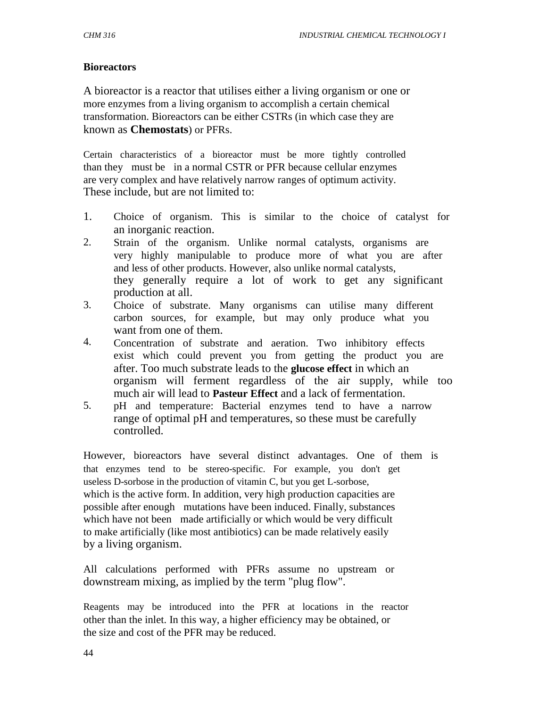#### **Bioreactors**

A bioreactor is a reactor that utilises either a living organism or one or more enzymes from a living organism to accomplish a certain chemical transformation. Bioreactors can be either CSTRs (in which case they are known as **Chemostats**) or PFRs.

Certain characteristics of a bioreactor must be more tightly controlled than they must be in a normal CSTR or PFR because cellular enzymes are very complex and have relatively narrow ranges of optimum activity. These include, but are not limited to:

- 1. Choice of organism. This is similar to the choice of catalyst for an inorganic reaction.
- 2. Strain of the organism. Unlike normal catalysts, organisms are very highly manipulable to produce more of what you are after and less of other products. However, also unlike normal catalysts, they generally require a lot of work to get any significant production at all.
- 3. Choice of substrate. Many organisms can utilise many different carbon sources, for example, but may only produce what you want from one of them.
- 4. Concentration of substrate and aeration. Two inhibitory effects exist which could prevent you from getting the product you are after. Too much substrate leads to the **glucose effect** in which an organism will ferment regardless of the air supply, while too much air will lead to **Pasteur Effect** and a lack of fermentation.
- 5. pH and temperature: Bacterial enzymes tend to have a narrow range of optimal pH and temperatures, so these must be carefully controlled.

However, bioreactors have several distinct advantages. One of them is that enzymes tend to be stereo-specific. For example, you don't get useless D-sorbose in the production of vitamin C, but you get L-sorbose, which is the active form. In addition, very high production capacities are possible after enough mutations have been induced. Finally, substances which have not been made artificially or which would be very difficult to make artificially (like most antibiotics) can be made relatively easily by a living organism.

All calculations performed with PFRs assume no upstream or downstream mixing, as implied by the term "plug flow".

Reagents may be introduced into the PFR at locations in the reactor other than the inlet. In this way, a higher efficiency may be obtained, or the size and cost of the PFR may be reduced.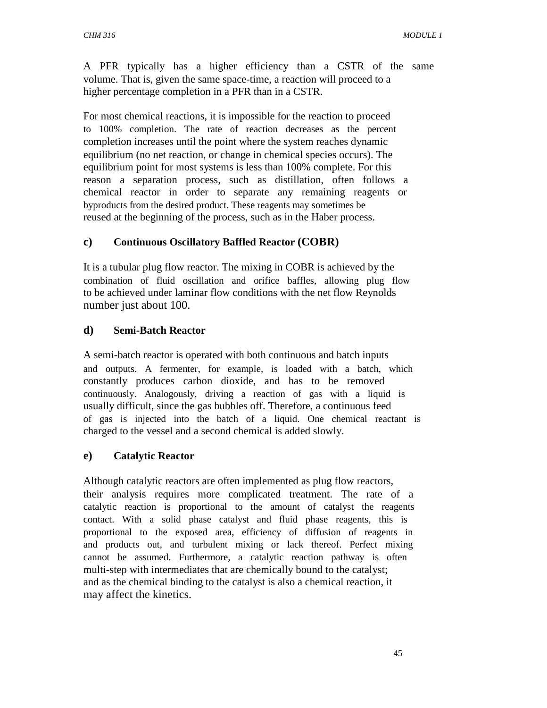A PFR typically has a higher efficiency than a CSTR of the same volume. That is, given the same space-time, a reaction will proceed to a higher percentage completion in a PFR than in a CSTR.

For most chemical reactions, it is impossible for the reaction to proceed to 100% completion. The rate of reaction decreases as the percent completion increases until the point where the system reaches dynamic equilibrium (no net reaction, or change in chemical species occurs). The equilibrium point for most systems is less than 100% complete. For this reason a separation process, such as distillation, often follows a chemical reactor in order to separate any remaining reagents or byproducts from the desired product. These reagents may sometimes be reused at the beginning of the process, such as in the Haber process.

#### **c) Continuous Oscillatory Baffled Reactor (COBR)**

It is a tubular plug flow reactor. The mixing in COBR is achieved by the combination of fluid oscillation and orifice baffles, allowing plug flow to be achieved under laminar flow conditions with the net flow Reynolds number just about 100.

#### **d) Semi-Batch Reactor**

A semi-batch reactor is operated with both continuous and batch inputs and outputs. A fermenter, for example, is loaded with a batch, which constantly produces carbon dioxide, and has to be removed continuously. Analogously, driving a reaction of gas with a liquid is usually difficult, since the gas bubbles off. Therefore, a continuous feed of gas is injected into the batch of a liquid. One chemical reactant is charged to the vessel and a second chemical is added slowly.

#### **e) Catalytic Reactor**

Although catalytic reactors are often implemented as plug flow reactors, their analysis requires more complicated treatment. The rate of a catalytic reaction is proportional to the amount of catalyst the reagents contact. With a solid phase catalyst and fluid phase reagents, this is proportional to the exposed area, efficiency of diffusion of reagents in and products out, and turbulent mixing or lack thereof. Perfect mixing cannot be assumed. Furthermore, a catalytic reaction pathway is often multi-step with intermediates that are chemically bound to the catalyst; and as the chemical binding to the catalyst is also a chemical reaction, it may affect the kinetics.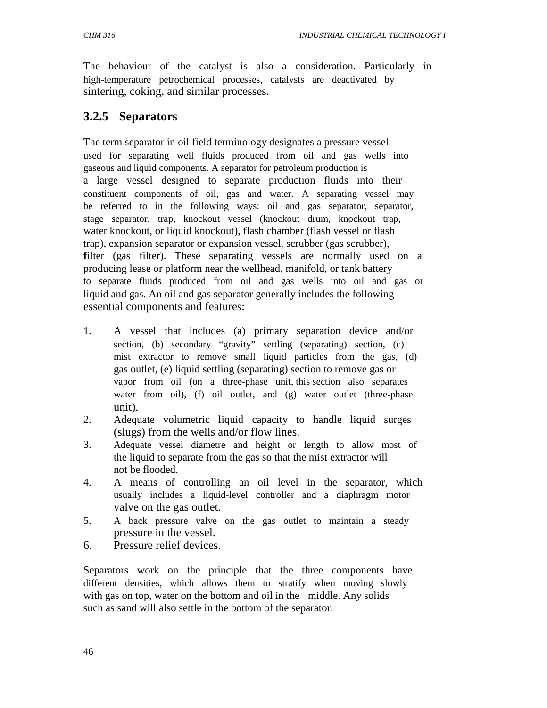The behaviour of the catalyst is also a consideration. Particularly in high-temperature petrochemical processes, catalysts are deactivated by sintering, coking, and similar processes.

#### **3.2.5 Separators**

The term separator in oil field terminology designates a pressure vessel used for separating well fluids produced from oil and gas wells into gaseous and liquid components. A separator for petroleum production is a large vessel designed to separate production fluids into their constituent components of oil, gas and water. A separating vessel may be referred to in the following ways: oil and gas separator, separator, stage separator, trap, knockout vessel (knockout drum, knockout trap, water knockout, or liquid knockout), flash chamber (flash vessel or flash trap), expansion separator or expansion vessel, scrubber (gas scrubber), **f**ilter (gas filter). These separating vessels are normally used on a producing lease or platform near the wellhead, manifold, or tank battery to separate fluids produced from oil and gas wells into oil and gas or liquid and gas. An oil and gas separator generally includes the following essential components and features:

- 1. A vessel that includes (a) primary separation device and/or section, (b) secondary "gravity" settling (separating) section, (c) mist extractor to remove small liquid particles from the gas, (d) gas outlet, (e) liquid settling (separating) section to remove gas or vapor from oil (on a three-phase unit, this section also separates water from oil), (f) oil outlet, and (g) water outlet (three-phase unit).
- 2. Adequate volumetric liquid capacity to handle liquid surges (slugs) from the wells and/or flow lines.
- 3. Adequate vessel diametre and height or length to allow most of the liquid to separate from the gas so that the mist extractor will not be flooded.
- 4. A means of controlling an oil level in the separator, which usually includes a liquid-level controller and a diaphragm motor valve on the gas outlet.
- 5. A back pressure valve on the gas outlet to maintain a steady pressure in the vessel.
- 6. Pressure relief devices.

Separators work on the principle that the three components have different densities, which allows them to stratify when moving slowly with gas on top, water on the bottom and oil in the middle. Any solids such as sand will also settle in the bottom of the separator.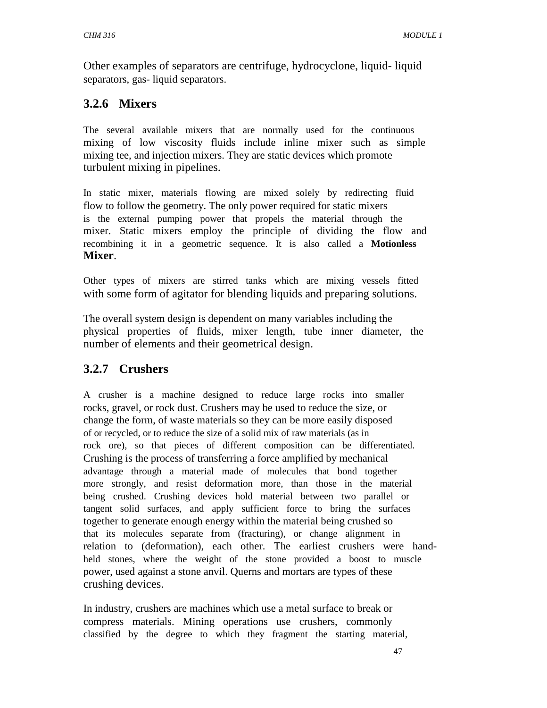Other examples of separators are centrifuge, hydrocyclone, liquid- liquid separators, gas- liquid separators.

### **3.2.6 Mixers**

The several available mixers that are normally used for the continuous mixing of low viscosity fluids include inline mixer such as simple mixing tee, and injection mixers. They are static devices which promote turbulent mixing in pipelines.

In static mixer, materials flowing are mixed solely by redirecting fluid flow to follow the geometry. The only power required for static mixers is the external pumping power that propels the material through the mixer. Static mixers employ the principle of dividing the flow and recombining it in a geometric sequence. It is also called a **Motionless Mixer**.

Other types of mixers are stirred tanks which are mixing vessels fitted with some form of agitator for blending liquids and preparing solutions.

The overall system design is dependent on many variables including the physical properties of fluids, mixer length, tube inner diameter, the number of elements and their geometrical design.

### **3.2.7 Crushers**

A crusher is a machine designed to reduce large rocks into smaller rocks, gravel, or rock dust. Crushers may be used to reduce the size, or change the form, of waste materials so they can be more easily disposed of or recycled, or to reduce the size of a solid mix of raw materials (as in rock ore), so that pieces of different composition can be differentiated. Crushing is the process of transferring a force amplified by mechanical advantage through a material made of molecules that bond together more strongly, and resist deformation more, than those in the material being crushed. Crushing devices hold material between two parallel or tangent solid surfaces, and apply sufficient force to bring the surfaces together to generate enough energy within the material being crushed so that its molecules separate from (fracturing), or change alignment in relation to (deformation), each other. The earliest crushers were handheld stones, where the weight of the stone provided a boost to muscle power, used against a stone anvil. Querns and mortars are types of these crushing devices.

In industry, crushers are machines which use a metal surface to break or compress materials. Mining operations use crushers, commonly classified by the degree to which they fragment the starting material,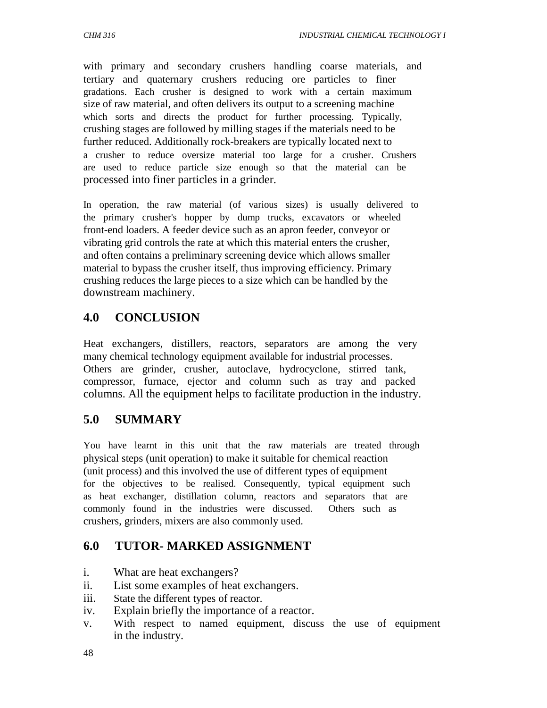with primary and secondary crushers handling coarse materials, and tertiary and quaternary crushers reducing ore particles to finer gradations. Each crusher is designed to work with a certain maximum size of raw material, and often delivers its output to a screening machine which sorts and directs the product for further processing. Typically, crushing stages are followed by milling stages if the materials need to be further reduced. Additionally rock-breakers are typically located next to a crusher to reduce oversize material too large for a crusher. Crushers are used to reduce particle size enough so that the material can be processed into finer particles in a grinder.

In operation, the raw material (of various sizes) is usually delivered to the primary crusher's hopper by dump trucks, excavators or wheeled front-end loaders. A feeder device such as an apron feeder, conveyor or vibrating grid controls the rate at which this material enters the crusher, and often contains a preliminary screening device which allows smaller material to bypass the crusher itself, thus improving efficiency. Primary crushing reduces the large pieces to a size which can be handled by the downstream machinery.

### **4.0 CONCLUSION**

Heat exchangers, distillers, reactors, separators are among the very many chemical technology equipment available for industrial processes. Others are grinder, crusher, autoclave, hydrocyclone, stirred tank, compressor, furnace, ejector and column such as tray and packed columns. All the equipment helps to facilitate production in the industry.

# **5.0 SUMMARY**

You have learnt in this unit that the raw materials are treated through physical steps (unit operation) to make it suitable for chemical reaction (unit process) and this involved the use of different types of equipment for the objectives to be realised. Consequently, typical equipment such as heat exchanger, distillation column, reactors and separators that are commonly found in the industries were discussed. Others such as crushers, grinders, mixers are also commonly used.

### **6.0 TUTOR- MARKED ASSIGNMENT**

- i. What are heat exchangers?
- ii. List some examples of heat exchangers.
- iii. State the different types of reactor.
- iv. Explain briefly the importance of a reactor.
- v. With respect to named equipment, discuss the use of equipment in the industry.